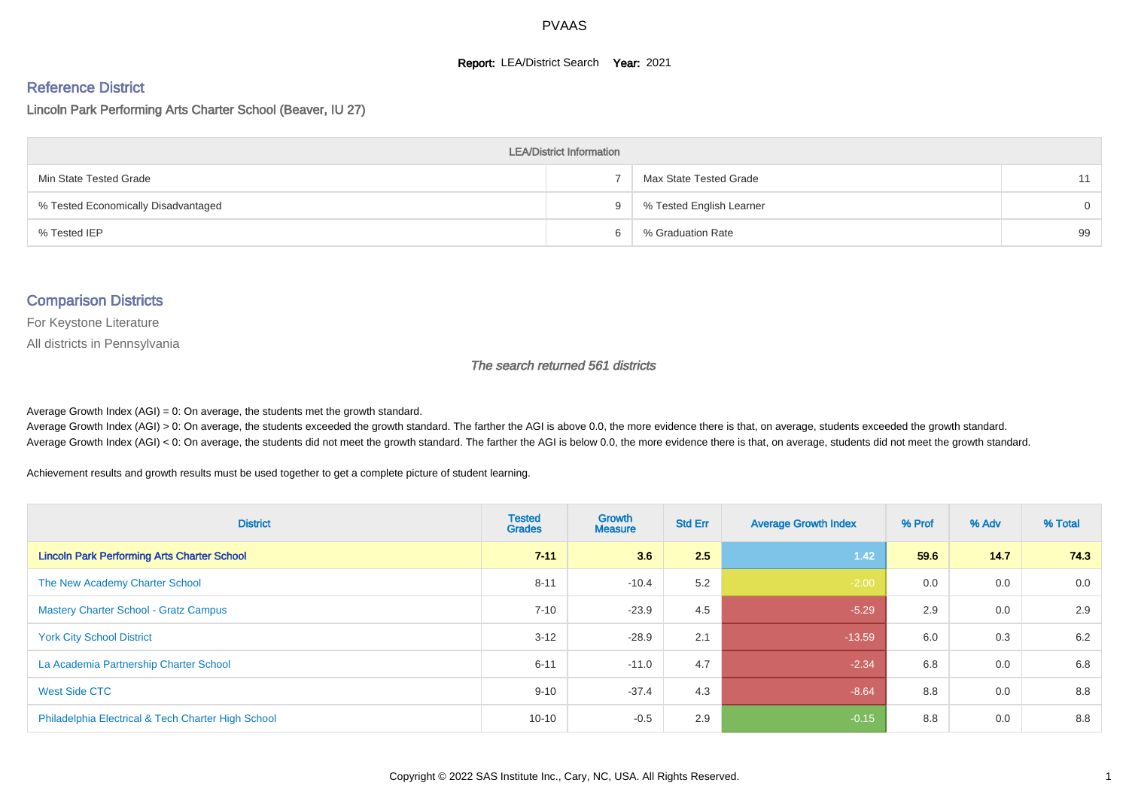#### **Report: LEA/District Search Year: 2021**

# Reference District

#### Lincoln Park Performing Arts Charter School (Beaver, IU 27)

| <b>LEA/District Information</b>     |     |                          |          |  |  |  |  |  |  |  |
|-------------------------------------|-----|--------------------------|----------|--|--|--|--|--|--|--|
| Min State Tested Grade              |     | Max State Tested Grade   | 11       |  |  |  |  |  |  |  |
| % Tested Economically Disadvantaged | 9   | % Tested English Learner | $\Omega$ |  |  |  |  |  |  |  |
| % Tested IEP                        | հ ՝ | % Graduation Rate        | 99       |  |  |  |  |  |  |  |

#### Comparison Districts

For Keystone Literature

All districts in Pennsylvania

#### The search returned 561 districts

Average Growth Index  $(AGI) = 0$ : On average, the students met the growth standard.

Average Growth Index (AGI) > 0: On average, the students exceeded the growth standard. The farther the AGI is above 0.0, the more evidence there is that, on average, students exceeded the growth standard. Average Growth Index (AGI) < 0: On average, the students did not meet the growth standard. The farther the AGI is below 0.0, the more evidence there is that, on average, students did not meet the growth standard.

Achievement results and growth results must be used together to get a complete picture of student learning.

| <b>District</b>                                    | <b>Tested</b><br><b>Grades</b> | Growth<br><b>Measure</b> | <b>Std Err</b> | <b>Average Growth Index</b> | % Prof | % Adv | % Total |
|----------------------------------------------------|--------------------------------|--------------------------|----------------|-----------------------------|--------|-------|---------|
| <b>Lincoln Park Performing Arts Charter School</b> | $7 - 11$                       | 3.6                      | 2.5            | 1.42                        | 59.6   | 14.7  | 74.3    |
| The New Academy Charter School                     | $8 - 11$                       | $-10.4$                  | 5.2            | $-2.00$                     | 0.0    | 0.0   | 0.0     |
| <b>Mastery Charter School - Gratz Campus</b>       | $7 - 10$                       | $-23.9$                  | 4.5            | $-5.29$                     | 2.9    | 0.0   | 2.9     |
| <b>York City School District</b>                   | $3 - 12$                       | $-28.9$                  | 2.1            | $-13.59$                    | 6.0    | 0.3   | 6.2     |
| La Academia Partnership Charter School             | $6 - 11$                       | $-11.0$                  | 4.7            | $-2.34$                     | 6.8    | 0.0   | 6.8     |
| West Side CTC                                      | $9 - 10$                       | $-37.4$                  | 4.3            | $-8.64$                     | 8.8    | 0.0   | 8.8     |
| Philadelphia Electrical & Tech Charter High School | $10 - 10$                      | $-0.5$                   | 2.9            | $-0.15$                     | 8.8    | 0.0   | 8.8     |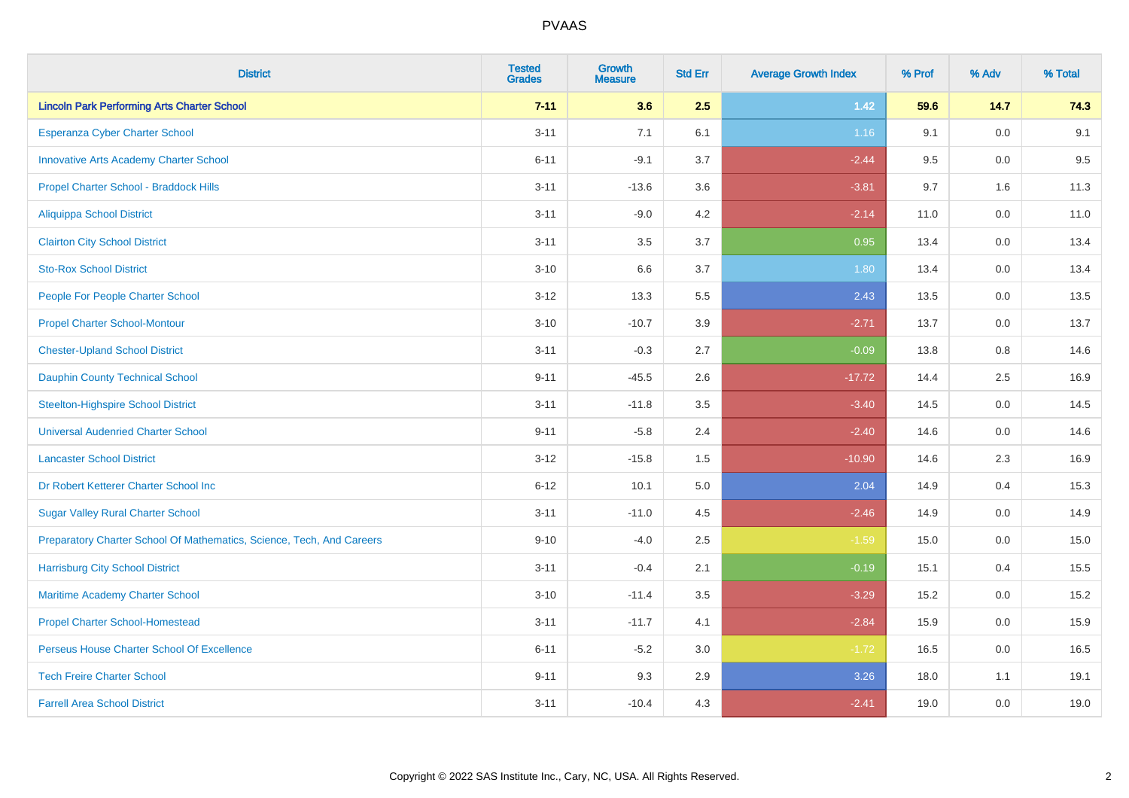| <b>District</b>                                                       | <b>Tested</b><br><b>Grades</b> | <b>Growth</b><br><b>Measure</b> | <b>Std Err</b> | <b>Average Growth Index</b> | % Prof | % Adv   | % Total |
|-----------------------------------------------------------------------|--------------------------------|---------------------------------|----------------|-----------------------------|--------|---------|---------|
| <b>Lincoln Park Performing Arts Charter School</b>                    | $7 - 11$                       | 3.6                             | 2.5            | $1.42$                      | 59.6   | 14.7    | 74.3    |
| Esperanza Cyber Charter School                                        | $3 - 11$                       | 7.1                             | 6.1            | 1.16                        | 9.1    | 0.0     | 9.1     |
| <b>Innovative Arts Academy Charter School</b>                         | $6 - 11$                       | $-9.1$                          | 3.7            | $-2.44$                     | 9.5    | 0.0     | 9.5     |
| Propel Charter School - Braddock Hills                                | $3 - 11$                       | $-13.6$                         | 3.6            | $-3.81$                     | 9.7    | 1.6     | 11.3    |
| <b>Aliquippa School District</b>                                      | $3 - 11$                       | $-9.0$                          | 4.2            | $-2.14$                     | 11.0   | 0.0     | 11.0    |
| <b>Clairton City School District</b>                                  | $3 - 11$                       | 3.5                             | 3.7            | 0.95                        | 13.4   | 0.0     | 13.4    |
| <b>Sto-Rox School District</b>                                        | $3 - 10$                       | 6.6                             | 3.7            | 1.80                        | 13.4   | $0.0\,$ | 13.4    |
| People For People Charter School                                      | $3 - 12$                       | 13.3                            | 5.5            | 2.43                        | 13.5   | 0.0     | 13.5    |
| <b>Propel Charter School-Montour</b>                                  | $3 - 10$                       | $-10.7$                         | 3.9            | $-2.71$                     | 13.7   | 0.0     | 13.7    |
| <b>Chester-Upland School District</b>                                 | $3 - 11$                       | $-0.3$                          | 2.7            | $-0.09$                     | 13.8   | $0.8\,$ | 14.6    |
| <b>Dauphin County Technical School</b>                                | $9 - 11$                       | $-45.5$                         | 2.6            | $-17.72$                    | 14.4   | 2.5     | 16.9    |
| <b>Steelton-Highspire School District</b>                             | $3 - 11$                       | $-11.8$                         | 3.5            | $-3.40$                     | 14.5   | 0.0     | 14.5    |
| <b>Universal Audenried Charter School</b>                             | $9 - 11$                       | $-5.8$                          | 2.4            | $-2.40$                     | 14.6   | 0.0     | 14.6    |
| <b>Lancaster School District</b>                                      | $3 - 12$                       | $-15.8$                         | 1.5            | $-10.90$                    | 14.6   | 2.3     | 16.9    |
| Dr Robert Ketterer Charter School Inc                                 | $6 - 12$                       | 10.1                            | 5.0            | 2.04                        | 14.9   | 0.4     | 15.3    |
| <b>Sugar Valley Rural Charter School</b>                              | $3 - 11$                       | $-11.0$                         | 4.5            | $-2.46$                     | 14.9   | 0.0     | 14.9    |
| Preparatory Charter School Of Mathematics, Science, Tech, And Careers | $9 - 10$                       | $-4.0$                          | 2.5            | $-1.59$                     | 15.0   | 0.0     | 15.0    |
| <b>Harrisburg City School District</b>                                | $3 - 11$                       | $-0.4$                          | 2.1            | $-0.19$                     | 15.1   | 0.4     | 15.5    |
| Maritime Academy Charter School                                       | $3 - 10$                       | $-11.4$                         | 3.5            | $-3.29$                     | 15.2   | 0.0     | 15.2    |
| <b>Propel Charter School-Homestead</b>                                | $3 - 11$                       | $-11.7$                         | 4.1            | $-2.84$                     | 15.9   | 0.0     | 15.9    |
| Perseus House Charter School Of Excellence                            | $6 - 11$                       | $-5.2$                          | 3.0            | $-1.72$                     | 16.5   | 0.0     | 16.5    |
| <b>Tech Freire Charter School</b>                                     | $9 - 11$                       | 9.3                             | 2.9            | 3.26                        | 18.0   | 1.1     | 19.1    |
| <b>Farrell Area School District</b>                                   | $3 - 11$                       | $-10.4$                         | 4.3            | $-2.41$                     | 19.0   | 0.0     | 19.0    |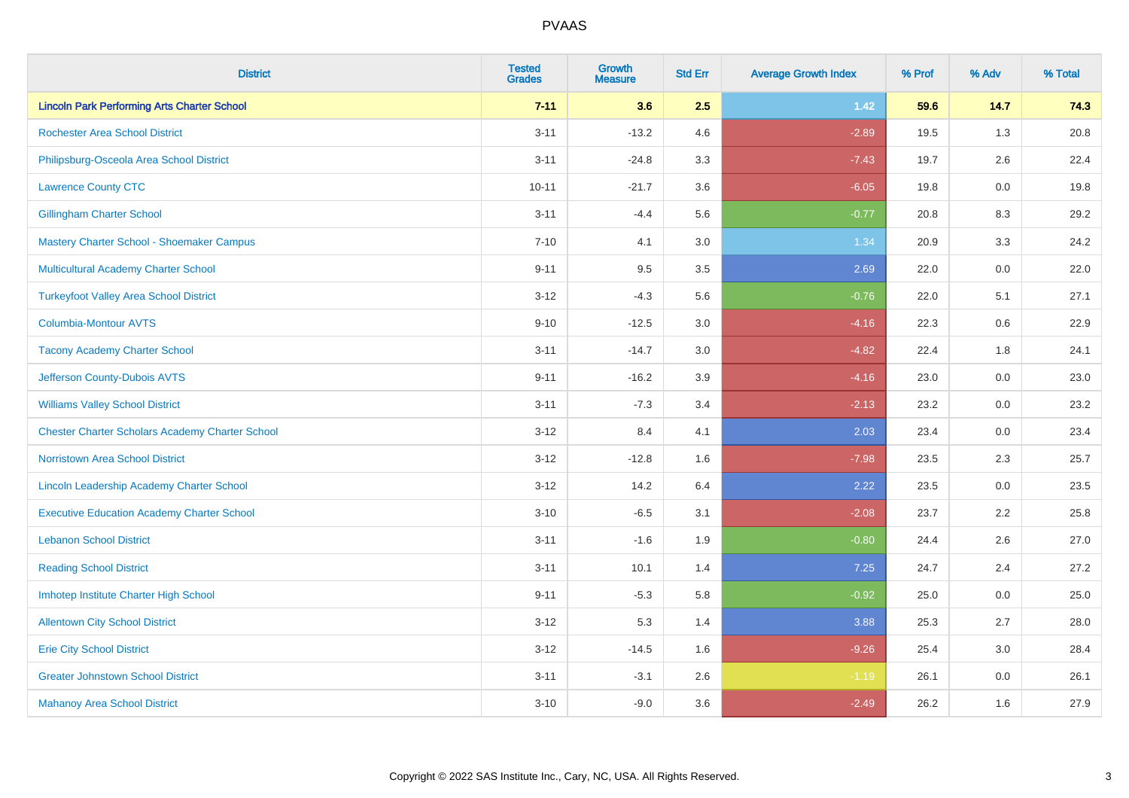| <b>District</b>                                        | <b>Tested</b><br><b>Grades</b> | Growth<br><b>Measure</b> | <b>Std Err</b> | <b>Average Growth Index</b> | % Prof | % Adv   | % Total |
|--------------------------------------------------------|--------------------------------|--------------------------|----------------|-----------------------------|--------|---------|---------|
| <b>Lincoln Park Performing Arts Charter School</b>     | $7 - 11$                       | 3.6                      | 2.5            | $1.42$                      | 59.6   | 14.7    | 74.3    |
| <b>Rochester Area School District</b>                  | $3 - 11$                       | $-13.2$                  | 4.6            | $-2.89$                     | 19.5   | 1.3     | 20.8    |
| Philipsburg-Osceola Area School District               | $3 - 11$                       | $-24.8$                  | 3.3            | $-7.43$                     | 19.7   | $2.6\,$ | 22.4    |
| <b>Lawrence County CTC</b>                             | $10 - 11$                      | $-21.7$                  | 3.6            | $-6.05$                     | 19.8   | 0.0     | 19.8    |
| <b>Gillingham Charter School</b>                       | $3 - 11$                       | $-4.4$                   | 5.6            | $-0.77$                     | 20.8   | 8.3     | 29.2    |
| Mastery Charter School - Shoemaker Campus              | $7 - 10$                       | 4.1                      | 3.0            | 1.34                        | 20.9   | 3.3     | 24.2    |
| Multicultural Academy Charter School                   | $9 - 11$                       | 9.5                      | 3.5            | 2.69                        | 22.0   | 0.0     | 22.0    |
| <b>Turkeyfoot Valley Area School District</b>          | $3 - 12$                       | $-4.3$                   | 5.6            | $-0.76$                     | 22.0   | 5.1     | 27.1    |
| <b>Columbia-Montour AVTS</b>                           | $9 - 10$                       | $-12.5$                  | 3.0            | $-4.16$                     | 22.3   | $0.6\,$ | 22.9    |
| <b>Tacony Academy Charter School</b>                   | $3 - 11$                       | $-14.7$                  | 3.0            | $-4.82$                     | 22.4   | 1.8     | 24.1    |
| Jefferson County-Dubois AVTS                           | $9 - 11$                       | $-16.2$                  | 3.9            | $-4.16$                     | 23.0   | 0.0     | 23.0    |
| <b>Williams Valley School District</b>                 | $3 - 11$                       | $-7.3$                   | 3.4            | $-2.13$                     | 23.2   | 0.0     | 23.2    |
| <b>Chester Charter Scholars Academy Charter School</b> | $3 - 12$                       | 8.4                      | 4.1            | 2.03                        | 23.4   | $0.0\,$ | 23.4    |
| <b>Norristown Area School District</b>                 | $3 - 12$                       | $-12.8$                  | 1.6            | $-7.98$                     | 23.5   | 2.3     | 25.7    |
| <b>Lincoln Leadership Academy Charter School</b>       | $3 - 12$                       | 14.2                     | 6.4            | 2.22                        | 23.5   | 0.0     | 23.5    |
| <b>Executive Education Academy Charter School</b>      | $3 - 10$                       | $-6.5$                   | 3.1            | $-2.08$                     | 23.7   | 2.2     | 25.8    |
| <b>Lebanon School District</b>                         | $3 - 11$                       | $-1.6$                   | 1.9            | $-0.80$                     | 24.4   | 2.6     | 27.0    |
| <b>Reading School District</b>                         | $3 - 11$                       | 10.1                     | 1.4            | 7.25                        | 24.7   | 2.4     | 27.2    |
| Imhotep Institute Charter High School                  | $9 - 11$                       | $-5.3$                   | 5.8            | $-0.92$                     | 25.0   | 0.0     | 25.0    |
| <b>Allentown City School District</b>                  | $3 - 12$                       | 5.3                      | 1.4            | 3.88                        | 25.3   | 2.7     | 28.0    |
| <b>Erie City School District</b>                       | $3 - 12$                       | $-14.5$                  | 1.6            | $-9.26$                     | 25.4   | 3.0     | 28.4    |
| <b>Greater Johnstown School District</b>               | $3 - 11$                       | $-3.1$                   | 2.6            | $-1.19$                     | 26.1   | 0.0     | 26.1    |
| <b>Mahanoy Area School District</b>                    | $3 - 10$                       | $-9.0$                   | 3.6            | $-2.49$                     | 26.2   | 1.6     | 27.9    |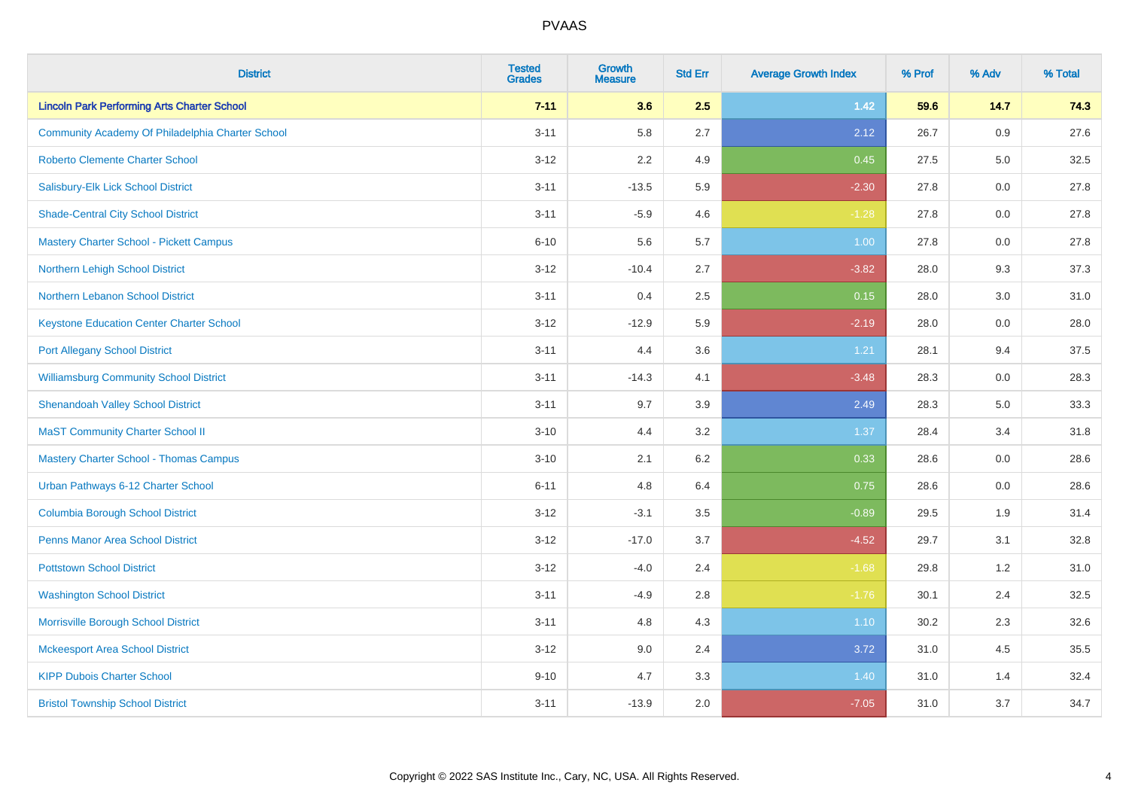| <b>District</b>                                    | <b>Tested</b><br><b>Grades</b> | <b>Growth</b><br><b>Measure</b> | <b>Std Err</b> | <b>Average Growth Index</b> | % Prof | % Adv   | % Total |
|----------------------------------------------------|--------------------------------|---------------------------------|----------------|-----------------------------|--------|---------|---------|
| <b>Lincoln Park Performing Arts Charter School</b> | $7 - 11$                       | 3.6                             | 2.5            | $1.42$                      | 59.6   | 14.7    | 74.3    |
| Community Academy Of Philadelphia Charter School   | $3 - 11$                       | 5.8                             | 2.7            | 2.12                        | 26.7   | 0.9     | 27.6    |
| Roberto Clemente Charter School                    | $3 - 12$                       | 2.2                             | 4.9            | 0.45                        | 27.5   | 5.0     | 32.5    |
| Salisbury-Elk Lick School District                 | $3 - 11$                       | $-13.5$                         | 5.9            | $-2.30$                     | 27.8   | 0.0     | 27.8    |
| <b>Shade-Central City School District</b>          | $3 - 11$                       | $-5.9$                          | 4.6            | $-1.28$                     | 27.8   | 0.0     | 27.8    |
| Mastery Charter School - Pickett Campus            | $6 - 10$                       | 5.6                             | 5.7            | 1.00                        | 27.8   | 0.0     | 27.8    |
| Northern Lehigh School District                    | $3 - 12$                       | $-10.4$                         | 2.7            | $-3.82$                     | 28.0   | 9.3     | 37.3    |
| Northern Lebanon School District                   | $3 - 11$                       | 0.4                             | 2.5            | 0.15                        | 28.0   | 3.0     | 31.0    |
| <b>Keystone Education Center Charter School</b>    | $3 - 12$                       | $-12.9$                         | 5.9            | $-2.19$                     | 28.0   | $0.0\,$ | 28.0    |
| <b>Port Allegany School District</b>               | $3 - 11$                       | 4.4                             | 3.6            | 1.21                        | 28.1   | 9.4     | 37.5    |
| <b>Williamsburg Community School District</b>      | $3 - 11$                       | $-14.3$                         | 4.1            | $-3.48$                     | 28.3   | 0.0     | 28.3    |
| <b>Shenandoah Valley School District</b>           | $3 - 11$                       | 9.7                             | 3.9            | 2.49                        | 28.3   | 5.0     | 33.3    |
| <b>MaST Community Charter School II</b>            | $3 - 10$                       | 4.4                             | 3.2            | 1.37                        | 28.4   | 3.4     | 31.8    |
| <b>Mastery Charter School - Thomas Campus</b>      | $3 - 10$                       | 2.1                             | $6.2\,$        | 0.33                        | 28.6   | 0.0     | 28.6    |
| Urban Pathways 6-12 Charter School                 | $6 - 11$                       | 4.8                             | 6.4            | 0.75                        | 28.6   | 0.0     | 28.6    |
| <b>Columbia Borough School District</b>            | $3 - 12$                       | $-3.1$                          | 3.5            | $-0.89$                     | 29.5   | 1.9     | 31.4    |
| <b>Penns Manor Area School District</b>            | $3 - 12$                       | $-17.0$                         | 3.7            | $-4.52$                     | 29.7   | 3.1     | 32.8    |
| <b>Pottstown School District</b>                   | $3 - 12$                       | $-4.0$                          | 2.4            | $-1.68$                     | 29.8   | 1.2     | 31.0    |
| <b>Washington School District</b>                  | $3 - 11$                       | $-4.9$                          | 2.8            | $-1.76$                     | 30.1   | 2.4     | 32.5    |
| Morrisville Borough School District                | $3 - 11$                       | 4.8                             | 4.3            | $1.10$                      | 30.2   | 2.3     | 32.6    |
| <b>Mckeesport Area School District</b>             | $3 - 12$                       | 9.0                             | 2.4            | 3.72                        | 31.0   | 4.5     | 35.5    |
| <b>KIPP Dubois Charter School</b>                  | $9 - 10$                       | 4.7                             | 3.3            | 1.40                        | 31.0   | 1.4     | 32.4    |
| <b>Bristol Township School District</b>            | $3 - 11$                       | $-13.9$                         | 2.0            | $-7.05$                     | 31.0   | 3.7     | 34.7    |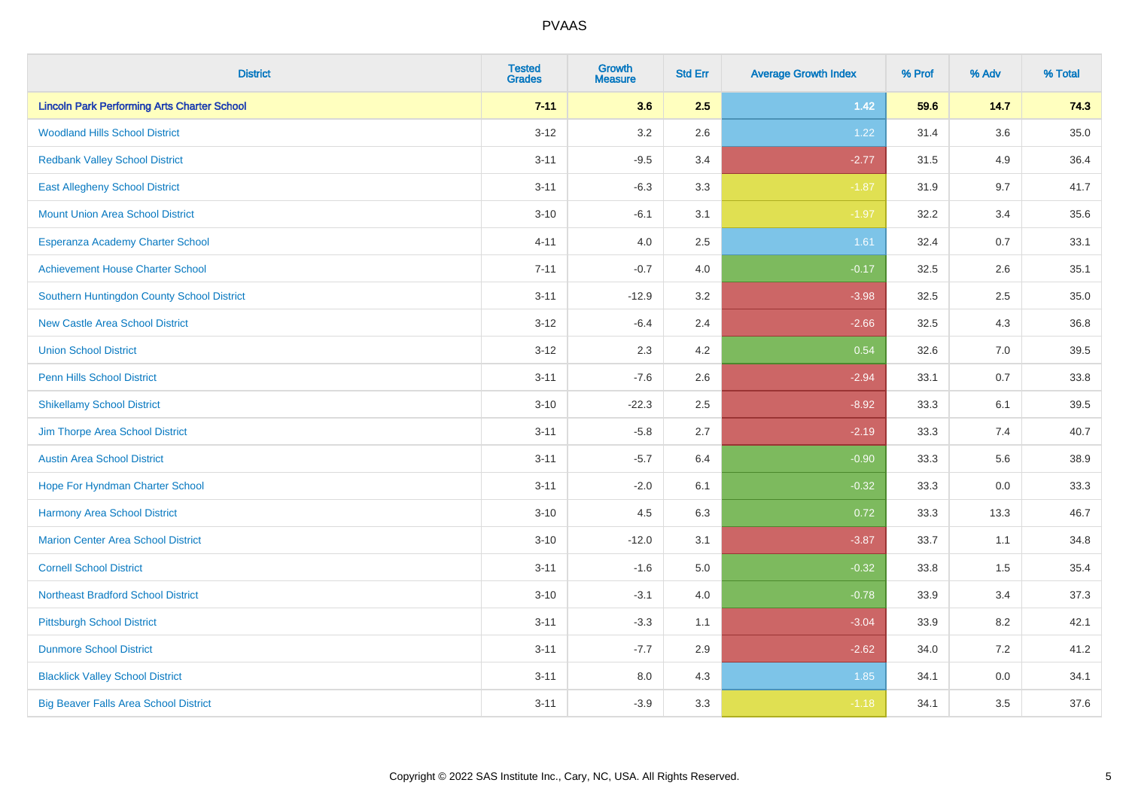| <b>District</b>                                    | <b>Tested</b><br><b>Grades</b> | <b>Growth</b><br><b>Measure</b> | <b>Std Err</b> | <b>Average Growth Index</b> | % Prof | % Adv | % Total |
|----------------------------------------------------|--------------------------------|---------------------------------|----------------|-----------------------------|--------|-------|---------|
| <b>Lincoln Park Performing Arts Charter School</b> | $7 - 11$                       | 3.6                             | 2.5            | $1.42$                      | 59.6   | 14.7  | 74.3    |
| <b>Woodland Hills School District</b>              | $3 - 12$                       | 3.2                             | 2.6            | 1.22                        | 31.4   | 3.6   | 35.0    |
| <b>Redbank Valley School District</b>              | $3 - 11$                       | $-9.5$                          | 3.4            | $-2.77$                     | 31.5   | 4.9   | 36.4    |
| <b>East Allegheny School District</b>              | $3 - 11$                       | $-6.3$                          | 3.3            | $-1.87$                     | 31.9   | 9.7   | 41.7    |
| <b>Mount Union Area School District</b>            | $3 - 10$                       | $-6.1$                          | 3.1            | $-1.97$                     | 32.2   | 3.4   | 35.6    |
| Esperanza Academy Charter School                   | $4 - 11$                       | 4.0                             | 2.5            | 1.61                        | 32.4   | 0.7   | 33.1    |
| <b>Achievement House Charter School</b>            | $7 - 11$                       | $-0.7$                          | 4.0            | $-0.17$                     | 32.5   | 2.6   | 35.1    |
| Southern Huntingdon County School District         | $3 - 11$                       | $-12.9$                         | 3.2            | $-3.98$                     | 32.5   | 2.5   | 35.0    |
| <b>New Castle Area School District</b>             | $3 - 12$                       | $-6.4$                          | 2.4            | $-2.66$                     | 32.5   | 4.3   | 36.8    |
| <b>Union School District</b>                       | $3 - 12$                       | 2.3                             | 4.2            | 0.54                        | 32.6   | 7.0   | 39.5    |
| <b>Penn Hills School District</b>                  | $3 - 11$                       | $-7.6$                          | 2.6            | $-2.94$                     | 33.1   | 0.7   | 33.8    |
| <b>Shikellamy School District</b>                  | $3 - 10$                       | $-22.3$                         | 2.5            | $-8.92$                     | 33.3   | 6.1   | 39.5    |
| Jim Thorpe Area School District                    | $3 - 11$                       | $-5.8$                          | 2.7            | $-2.19$                     | 33.3   | 7.4   | 40.7    |
| <b>Austin Area School District</b>                 | $3 - 11$                       | $-5.7$                          | 6.4            | $-0.90$                     | 33.3   | 5.6   | 38.9    |
| Hope For Hyndman Charter School                    | $3 - 11$                       | $-2.0$                          | 6.1            | $-0.32$                     | 33.3   | 0.0   | 33.3    |
| <b>Harmony Area School District</b>                | $3 - 10$                       | 4.5                             | 6.3            | 0.72                        | 33.3   | 13.3  | 46.7    |
| <b>Marion Center Area School District</b>          | $3 - 10$                       | $-12.0$                         | 3.1            | $-3.87$                     | 33.7   | 1.1   | 34.8    |
| <b>Cornell School District</b>                     | $3 - 11$                       | $-1.6$                          | 5.0            | $-0.32$                     | 33.8   | 1.5   | 35.4    |
| <b>Northeast Bradford School District</b>          | $3 - 10$                       | $-3.1$                          | 4.0            | $-0.78$                     | 33.9   | 3.4   | 37.3    |
| <b>Pittsburgh School District</b>                  | $3 - 11$                       | $-3.3$                          | 1.1            | $-3.04$                     | 33.9   | 8.2   | 42.1    |
| <b>Dunmore School District</b>                     | $3 - 11$                       | $-7.7$                          | 2.9            | $-2.62$                     | 34.0   | 7.2   | 41.2    |
| <b>Blacklick Valley School District</b>            | $3 - 11$                       | 8.0                             | 4.3            | 1.85                        | 34.1   | 0.0   | 34.1    |
| <b>Big Beaver Falls Area School District</b>       | $3 - 11$                       | $-3.9$                          | 3.3            | $-1.18$                     | 34.1   | 3.5   | 37.6    |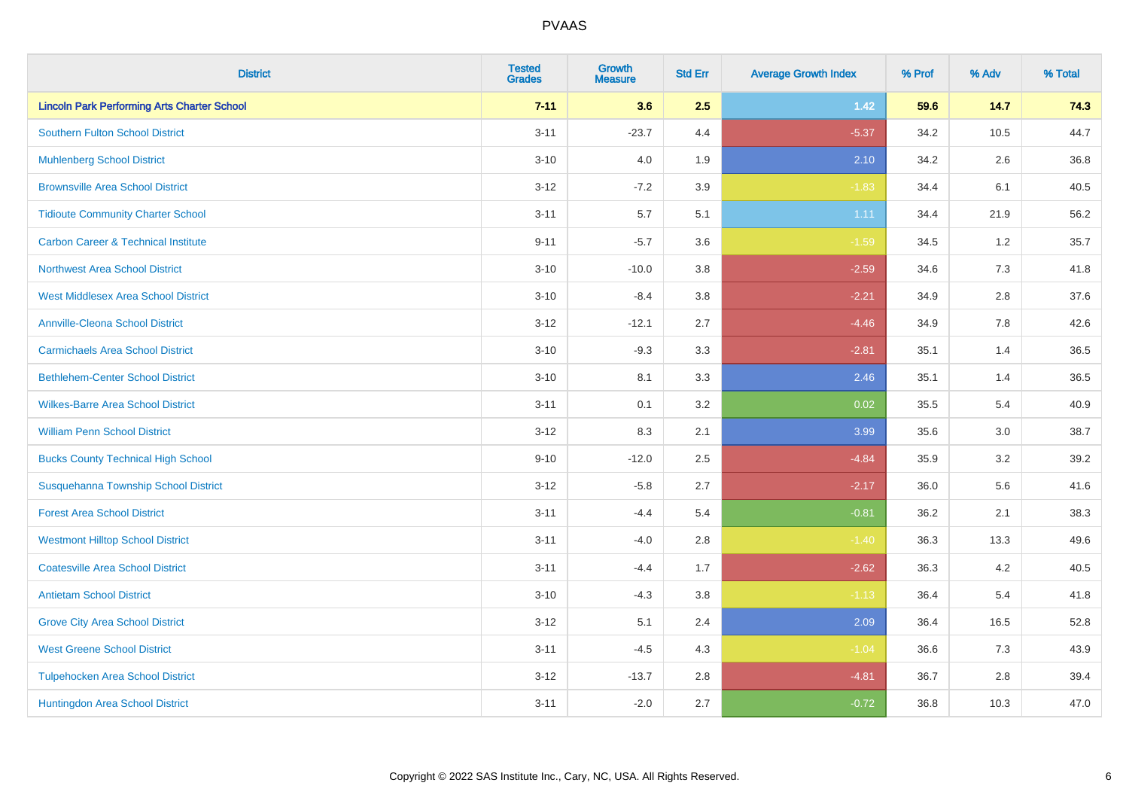| <b>District</b>                                    | <b>Tested</b><br><b>Grades</b> | <b>Growth</b><br><b>Measure</b> | <b>Std Err</b> | <b>Average Growth Index</b> | % Prof | % Adv | % Total |
|----------------------------------------------------|--------------------------------|---------------------------------|----------------|-----------------------------|--------|-------|---------|
| <b>Lincoln Park Performing Arts Charter School</b> | $7 - 11$                       | 3.6                             | 2.5            | 1.42                        | 59.6   | 14.7  | 74.3    |
| <b>Southern Fulton School District</b>             | $3 - 11$                       | $-23.7$                         | 4.4            | $-5.37$                     | 34.2   | 10.5  | 44.7    |
| <b>Muhlenberg School District</b>                  | $3 - 10$                       | 4.0                             | 1.9            | 2.10                        | 34.2   | 2.6   | 36.8    |
| <b>Brownsville Area School District</b>            | $3 - 12$                       | $-7.2$                          | 3.9            | $-1.83$                     | 34.4   | 6.1   | 40.5    |
| <b>Tidioute Community Charter School</b>           | $3 - 11$                       | 5.7                             | 5.1            | 1.11                        | 34.4   | 21.9  | 56.2    |
| <b>Carbon Career &amp; Technical Institute</b>     | $9 - 11$                       | $-5.7$                          | 3.6            | $-1.59$                     | 34.5   | 1.2   | 35.7    |
| <b>Northwest Area School District</b>              | $3 - 10$                       | $-10.0$                         | 3.8            | $-2.59$                     | 34.6   | 7.3   | 41.8    |
| <b>West Middlesex Area School District</b>         | $3 - 10$                       | $-8.4$                          | 3.8            | $-2.21$                     | 34.9   | 2.8   | 37.6    |
| <b>Annville-Cleona School District</b>             | $3 - 12$                       | $-12.1$                         | 2.7            | $-4.46$                     | 34.9   | 7.8   | 42.6    |
| <b>Carmichaels Area School District</b>            | $3 - 10$                       | $-9.3$                          | 3.3            | $-2.81$                     | 35.1   | 1.4   | 36.5    |
| <b>Bethlehem-Center School District</b>            | $3 - 10$                       | 8.1                             | 3.3            | 2.46                        | 35.1   | 1.4   | 36.5    |
| <b>Wilkes-Barre Area School District</b>           | $3 - 11$                       | 0.1                             | 3.2            | 0.02                        | 35.5   | 5.4   | 40.9    |
| <b>William Penn School District</b>                | $3 - 12$                       | 8.3                             | 2.1            | 3.99                        | 35.6   | 3.0   | 38.7    |
| <b>Bucks County Technical High School</b>          | $9 - 10$                       | $-12.0$                         | 2.5            | $-4.84$                     | 35.9   | 3.2   | 39.2    |
| Susquehanna Township School District               | $3 - 12$                       | $-5.8$                          | 2.7            | $-2.17$                     | 36.0   | 5.6   | 41.6    |
| <b>Forest Area School District</b>                 | $3 - 11$                       | $-4.4$                          | 5.4            | $-0.81$                     | 36.2   | 2.1   | 38.3    |
| <b>Westmont Hilltop School District</b>            | $3 - 11$                       | $-4.0$                          | 2.8            | $-1.40$                     | 36.3   | 13.3  | 49.6    |
| <b>Coatesville Area School District</b>            | $3 - 11$                       | $-4.4$                          | 1.7            | $-2.62$                     | 36.3   | 4.2   | 40.5    |
| <b>Antietam School District</b>                    | $3 - 10$                       | $-4.3$                          | 3.8            | $-1.13$                     | 36.4   | 5.4   | 41.8    |
| <b>Grove City Area School District</b>             | $3 - 12$                       | 5.1                             | 2.4            | 2.09                        | 36.4   | 16.5  | 52.8    |
| <b>West Greene School District</b>                 | $3 - 11$                       | $-4.5$                          | 4.3            | $-1.04$                     | 36.6   | 7.3   | 43.9    |
| <b>Tulpehocken Area School District</b>            | $3 - 12$                       | $-13.7$                         | 2.8            | $-4.81$                     | 36.7   | 2.8   | 39.4    |
| Huntingdon Area School District                    | $3 - 11$                       | $-2.0$                          | 2.7            | $-0.72$                     | 36.8   | 10.3  | 47.0    |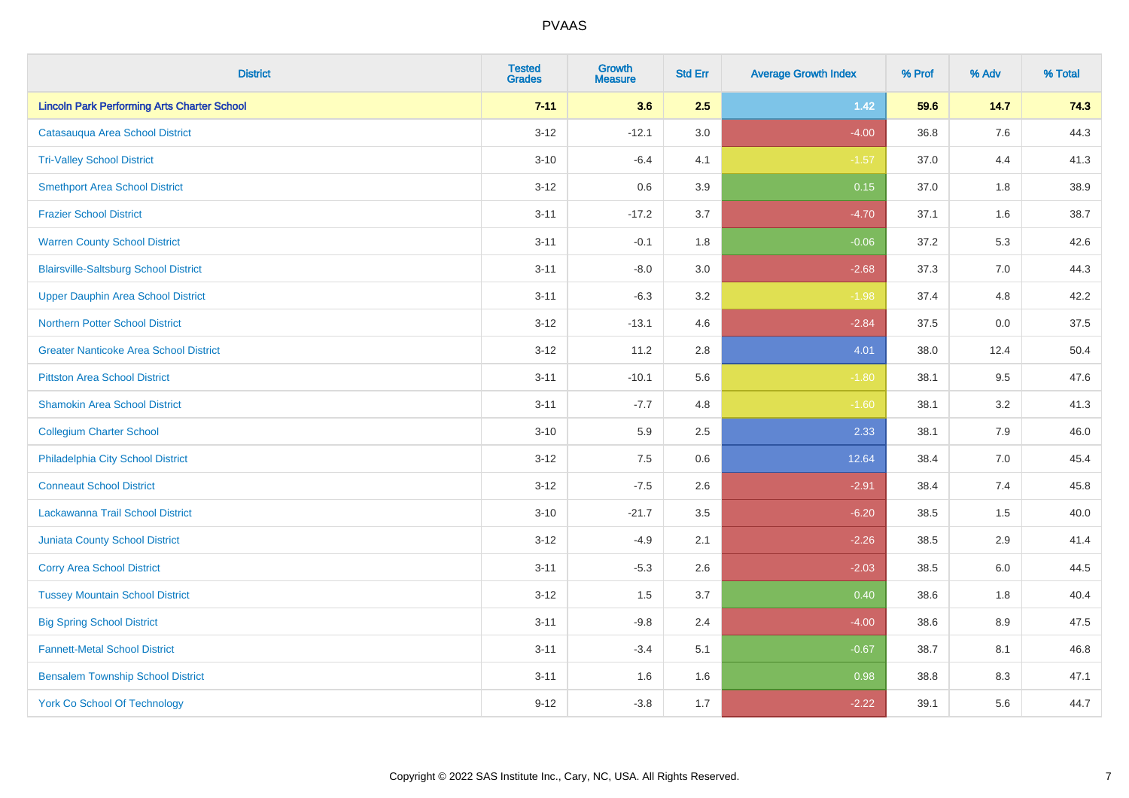| <b>District</b>                                    | <b>Tested</b><br><b>Grades</b> | Growth<br><b>Measure</b> | <b>Std Err</b> | <b>Average Growth Index</b> | % Prof | % Adv   | % Total |
|----------------------------------------------------|--------------------------------|--------------------------|----------------|-----------------------------|--------|---------|---------|
| <b>Lincoln Park Performing Arts Charter School</b> | $7 - 11$                       | 3.6                      | 2.5            | $1.42$                      | 59.6   | 14.7    | 74.3    |
| Catasauqua Area School District                    | $3 - 12$                       | $-12.1$                  | 3.0            | $-4.00$                     | 36.8   | $7.6\,$ | 44.3    |
| <b>Tri-Valley School District</b>                  | $3 - 10$                       | $-6.4$                   | 4.1            | $-1.57$                     | 37.0   | 4.4     | 41.3    |
| <b>Smethport Area School District</b>              | $3 - 12$                       | 0.6                      | 3.9            | 0.15                        | 37.0   | 1.8     | 38.9    |
| <b>Frazier School District</b>                     | $3 - 11$                       | $-17.2$                  | 3.7            | $-4.70$                     | 37.1   | 1.6     | 38.7    |
| <b>Warren County School District</b>               | $3 - 11$                       | $-0.1$                   | 1.8            | $-0.06$                     | 37.2   | 5.3     | 42.6    |
| <b>Blairsville-Saltsburg School District</b>       | $3 - 11$                       | $-8.0$                   | 3.0            | $-2.68$                     | 37.3   | 7.0     | 44.3    |
| <b>Upper Dauphin Area School District</b>          | $3 - 11$                       | $-6.3$                   | 3.2            | $-1.98$                     | 37.4   | 4.8     | 42.2    |
| <b>Northern Potter School District</b>             | $3 - 12$                       | $-13.1$                  | 4.6            | $-2.84$                     | 37.5   | 0.0     | 37.5    |
| <b>Greater Nanticoke Area School District</b>      | $3 - 12$                       | 11.2                     | 2.8            | 4.01                        | 38.0   | 12.4    | 50.4    |
| <b>Pittston Area School District</b>               | $3 - 11$                       | $-10.1$                  | 5.6            | $-1.80$                     | 38.1   | 9.5     | 47.6    |
| <b>Shamokin Area School District</b>               | $3 - 11$                       | $-7.7$                   | 4.8            | $-1.60$                     | 38.1   | 3.2     | 41.3    |
| <b>Collegium Charter School</b>                    | $3 - 10$                       | 5.9                      | 2.5            | 2.33                        | 38.1   | 7.9     | 46.0    |
| Philadelphia City School District                  | $3 - 12$                       | 7.5                      | 0.6            | 12.64                       | 38.4   | 7.0     | 45.4    |
| <b>Conneaut School District</b>                    | $3 - 12$                       | $-7.5$                   | 2.6            | $-2.91$                     | 38.4   | 7.4     | 45.8    |
| Lackawanna Trail School District                   | $3 - 10$                       | $-21.7$                  | 3.5            | $-6.20$                     | 38.5   | $1.5\,$ | 40.0    |
| <b>Juniata County School District</b>              | $3 - 12$                       | $-4.9$                   | 2.1            | $-2.26$                     | 38.5   | 2.9     | 41.4    |
| <b>Corry Area School District</b>                  | $3 - 11$                       | $-5.3$                   | 2.6            | $-2.03$                     | 38.5   | 6.0     | 44.5    |
| <b>Tussey Mountain School District</b>             | $3 - 12$                       | 1.5                      | 3.7            | 0.40                        | 38.6   | 1.8     | 40.4    |
| <b>Big Spring School District</b>                  | $3 - 11$                       | $-9.8$                   | 2.4            | $-4.00$                     | 38.6   | 8.9     | 47.5    |
| <b>Fannett-Metal School District</b>               | $3 - 11$                       | $-3.4$                   | 5.1            | $-0.67$                     | 38.7   | 8.1     | 46.8    |
| <b>Bensalem Township School District</b>           | $3 - 11$                       | 1.6                      | 1.6            | 0.98                        | 38.8   | 8.3     | 47.1    |
| <b>York Co School Of Technology</b>                | $9 - 12$                       | $-3.8$                   | 1.7            | $-2.22$                     | 39.1   | 5.6     | 44.7    |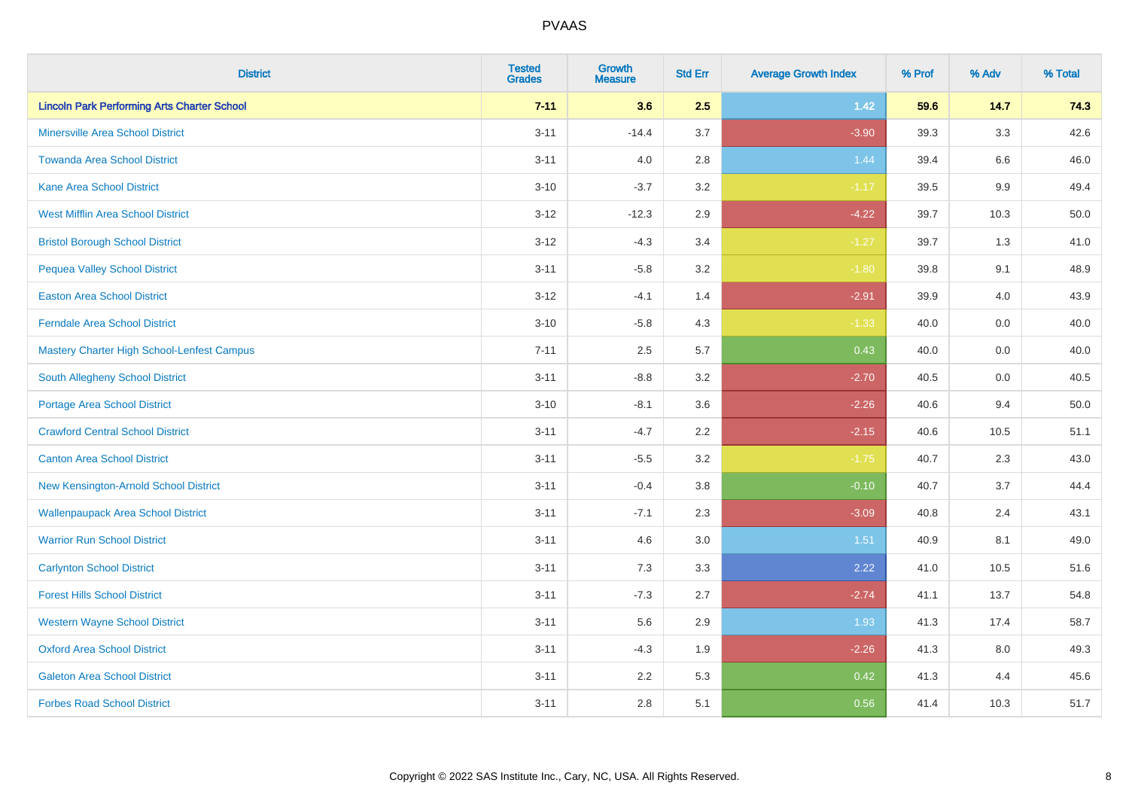| <b>District</b>                                    | <b>Tested</b><br><b>Grades</b> | Growth<br><b>Measure</b> | <b>Std Err</b> | <b>Average Growth Index</b> | % Prof | % Adv   | % Total |
|----------------------------------------------------|--------------------------------|--------------------------|----------------|-----------------------------|--------|---------|---------|
| <b>Lincoln Park Performing Arts Charter School</b> | $7 - 11$                       | 3.6                      | 2.5            | 1.42                        | 59.6   | 14.7    | 74.3    |
| <b>Minersville Area School District</b>            | $3 - 11$                       | $-14.4$                  | 3.7            | $-3.90$                     | 39.3   | 3.3     | 42.6    |
| <b>Towanda Area School District</b>                | $3 - 11$                       | 4.0                      | 2.8            | 1.44                        | 39.4   | $6.6\,$ | 46.0    |
| <b>Kane Area School District</b>                   | $3 - 10$                       | $-3.7$                   | 3.2            | $-1.17$                     | 39.5   | 9.9     | 49.4    |
| <b>West Mifflin Area School District</b>           | $3 - 12$                       | $-12.3$                  | 2.9            | $-4.22$                     | 39.7   | 10.3    | 50.0    |
| <b>Bristol Borough School District</b>             | $3 - 12$                       | $-4.3$                   | 3.4            | $-1.27$                     | 39.7   | 1.3     | 41.0    |
| <b>Pequea Valley School District</b>               | $3 - 11$                       | $-5.8$                   | 3.2            | $-1.80$                     | 39.8   | 9.1     | 48.9    |
| <b>Easton Area School District</b>                 | $3 - 12$                       | $-4.1$                   | 1.4            | $-2.91$                     | 39.9   | 4.0     | 43.9    |
| <b>Ferndale Area School District</b>               | $3 - 10$                       | $-5.8$                   | 4.3            | $-1.33$                     | 40.0   | 0.0     | 40.0    |
| Mastery Charter High School-Lenfest Campus         | $7 - 11$                       | 2.5                      | 5.7            | 0.43                        | 40.0   | 0.0     | 40.0    |
| <b>South Allegheny School District</b>             | $3 - 11$                       | $-8.8$                   | 3.2            | $-2.70$                     | 40.5   | 0.0     | 40.5    |
| <b>Portage Area School District</b>                | $3 - 10$                       | $-8.1$                   | 3.6            | $-2.26$                     | 40.6   | 9.4     | 50.0    |
| <b>Crawford Central School District</b>            | $3 - 11$                       | $-4.7$                   | 2.2            | $-2.15$                     | 40.6   | 10.5    | 51.1    |
| <b>Canton Area School District</b>                 | $3 - 11$                       | $-5.5$                   | 3.2            | $-1.75$                     | 40.7   | 2.3     | 43.0    |
| New Kensington-Arnold School District              | $3 - 11$                       | $-0.4$                   | 3.8            | $-0.10$                     | 40.7   | 3.7     | 44.4    |
| <b>Wallenpaupack Area School District</b>          | $3 - 11$                       | $-7.1$                   | 2.3            | $-3.09$                     | 40.8   | 2.4     | 43.1    |
| <b>Warrior Run School District</b>                 | $3 - 11$                       | 4.6                      | 3.0            | 1.51                        | 40.9   | 8.1     | 49.0    |
| <b>Carlynton School District</b>                   | $3 - 11$                       | 7.3                      | 3.3            | 2.22                        | 41.0   | 10.5    | 51.6    |
| <b>Forest Hills School District</b>                | $3 - 11$                       | $-7.3$                   | 2.7            | $-2.74$                     | 41.1   | 13.7    | 54.8    |
| <b>Western Wayne School District</b>               | $3 - 11$                       | 5.6                      | 2.9            | 1.93                        | 41.3   | 17.4    | 58.7    |
| <b>Oxford Area School District</b>                 | $3 - 11$                       | $-4.3$                   | 1.9            | $-2.26$                     | 41.3   | 8.0     | 49.3    |
| <b>Galeton Area School District</b>                | $3 - 11$                       | 2.2                      | 5.3            | 0.42                        | 41.3   | 4.4     | 45.6    |
| <b>Forbes Road School District</b>                 | $3 - 11$                       | 2.8                      | 5.1            | 0.56                        | 41.4   | 10.3    | 51.7    |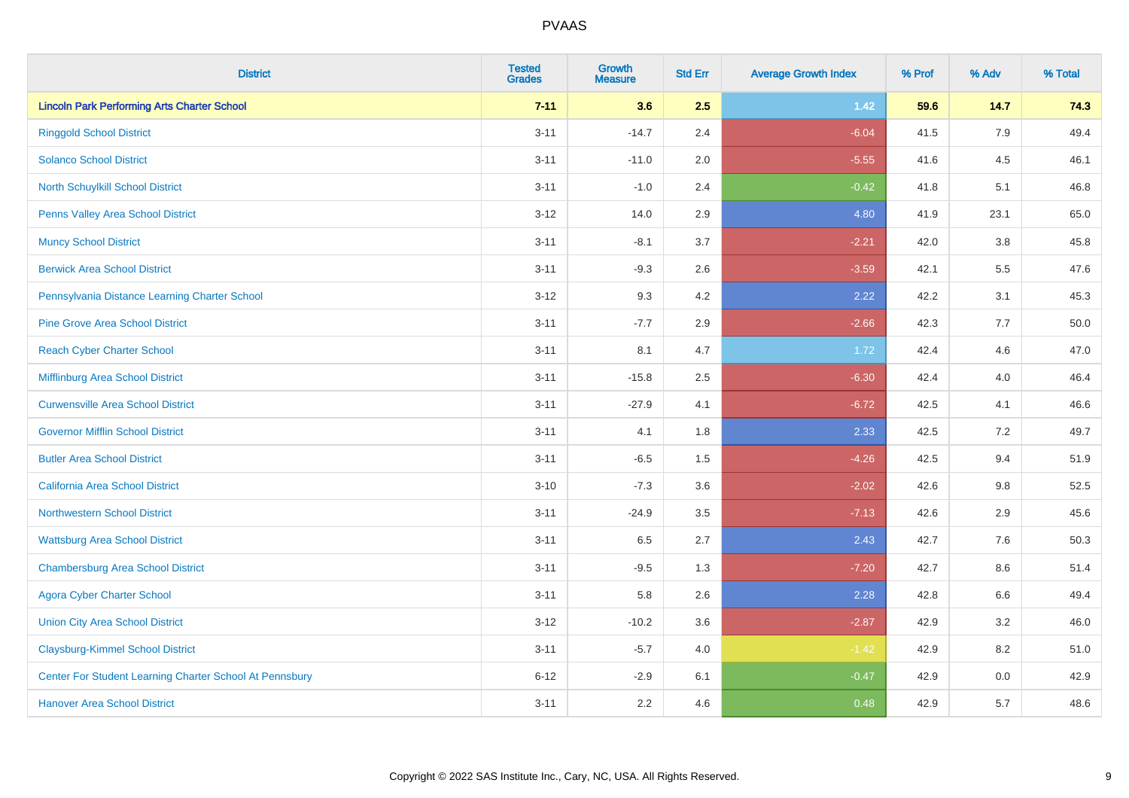| <b>District</b>                                         | <b>Tested</b><br><b>Grades</b> | <b>Growth</b><br><b>Measure</b> | <b>Std Err</b> | <b>Average Growth Index</b> | % Prof | % Adv   | % Total  |
|---------------------------------------------------------|--------------------------------|---------------------------------|----------------|-----------------------------|--------|---------|----------|
| <b>Lincoln Park Performing Arts Charter School</b>      | $7 - 11$                       | 3.6                             | 2.5            | 1.42                        | 59.6   | 14.7    | 74.3     |
| <b>Ringgold School District</b>                         | $3 - 11$                       | $-14.7$                         | 2.4            | $-6.04$                     | 41.5   | 7.9     | 49.4     |
| <b>Solanco School District</b>                          | $3 - 11$                       | $-11.0$                         | 2.0            | $-5.55$                     | 41.6   | 4.5     | 46.1     |
| <b>North Schuylkill School District</b>                 | $3 - 11$                       | $-1.0$                          | 2.4            | $-0.42$                     | 41.8   | 5.1     | 46.8     |
| Penns Valley Area School District                       | $3 - 12$                       | 14.0                            | 2.9            | 4.80                        | 41.9   | 23.1    | 65.0     |
| <b>Muncy School District</b>                            | $3 - 11$                       | $-8.1$                          | 3.7            | $-2.21$                     | 42.0   | $3.8\,$ | 45.8     |
| <b>Berwick Area School District</b>                     | $3 - 11$                       | $-9.3$                          | 2.6            | $-3.59$                     | 42.1   | 5.5     | 47.6     |
| Pennsylvania Distance Learning Charter School           | $3 - 12$                       | 9.3                             | 4.2            | 2.22                        | 42.2   | 3.1     | 45.3     |
| <b>Pine Grove Area School District</b>                  | $3 - 11$                       | $-7.7$                          | 2.9            | $-2.66$                     | 42.3   | 7.7     | $50.0\,$ |
| <b>Reach Cyber Charter School</b>                       | $3 - 11$                       | 8.1                             | 4.7            | 1.72                        | 42.4   | 4.6     | 47.0     |
| Mifflinburg Area School District                        | $3 - 11$                       | $-15.8$                         | 2.5            | $-6.30$                     | 42.4   | 4.0     | 46.4     |
| <b>Curwensville Area School District</b>                | $3 - 11$                       | $-27.9$                         | 4.1            | $-6.72$                     | 42.5   | 4.1     | 46.6     |
| <b>Governor Mifflin School District</b>                 | $3 - 11$                       | 4.1                             | 1.8            | 2.33                        | 42.5   | 7.2     | 49.7     |
| <b>Butler Area School District</b>                      | $3 - 11$                       | $-6.5$                          | 1.5            | $-4.26$                     | 42.5   | 9.4     | 51.9     |
| <b>California Area School District</b>                  | $3 - 10$                       | $-7.3$                          | 3.6            | $-2.02$                     | 42.6   | $9.8\,$ | 52.5     |
| <b>Northwestern School District</b>                     | $3 - 11$                       | $-24.9$                         | 3.5            | $-7.13$                     | 42.6   | 2.9     | 45.6     |
| <b>Wattsburg Area School District</b>                   | $3 - 11$                       | 6.5                             | 2.7            | 2.43                        | 42.7   | 7.6     | 50.3     |
| <b>Chambersburg Area School District</b>                | $3 - 11$                       | $-9.5$                          | 1.3            | $-7.20$                     | 42.7   | 8.6     | 51.4     |
| <b>Agora Cyber Charter School</b>                       | $3 - 11$                       | 5.8                             | 2.6            | 2.28                        | 42.8   | 6.6     | 49.4     |
| <b>Union City Area School District</b>                  | $3 - 12$                       | $-10.2$                         | 3.6            | $-2.87$                     | 42.9   | 3.2     | 46.0     |
| <b>Claysburg-Kimmel School District</b>                 | $3 - 11$                       | $-5.7$                          | 4.0            | $-1.42$                     | 42.9   | 8.2     | 51.0     |
| Center For Student Learning Charter School At Pennsbury | $6 - 12$                       | $-2.9$                          | 6.1            | $-0.47$                     | 42.9   | $0.0\,$ | 42.9     |
| <b>Hanover Area School District</b>                     | $3 - 11$                       | 2.2                             | 4.6            | 0.48                        | 42.9   | 5.7     | 48.6     |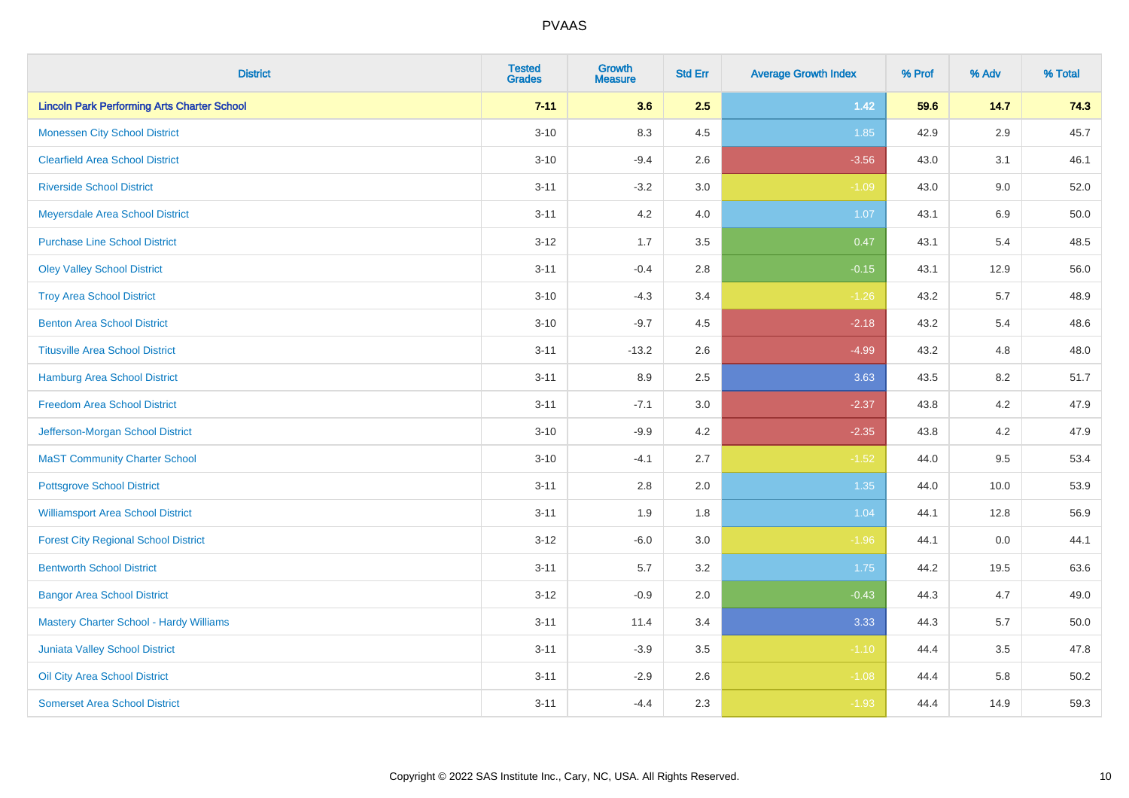| <b>District</b>                                    | <b>Tested</b><br><b>Grades</b> | Growth<br><b>Measure</b> | <b>Std Err</b> | <b>Average Growth Index</b> | % Prof | % Adv   | % Total |
|----------------------------------------------------|--------------------------------|--------------------------|----------------|-----------------------------|--------|---------|---------|
| <b>Lincoln Park Performing Arts Charter School</b> | $7 - 11$                       | 3.6                      | 2.5            | $1.42$                      | 59.6   | 14.7    | 74.3    |
| <b>Monessen City School District</b>               | $3 - 10$                       | 8.3                      | 4.5            | 1.85                        | 42.9   | 2.9     | 45.7    |
| <b>Clearfield Area School District</b>             | $3 - 10$                       | $-9.4$                   | 2.6            | $-3.56$                     | 43.0   | 3.1     | 46.1    |
| <b>Riverside School District</b>                   | $3 - 11$                       | $-3.2$                   | 3.0            | $-1.09$                     | 43.0   | 9.0     | 52.0    |
| Meyersdale Area School District                    | $3 - 11$                       | 4.2                      | 4.0            | 1.07                        | 43.1   | 6.9     | 50.0    |
| <b>Purchase Line School District</b>               | $3 - 12$                       | 1.7                      | 3.5            | 0.47                        | 43.1   | 5.4     | 48.5    |
| <b>Oley Valley School District</b>                 | $3 - 11$                       | $-0.4$                   | 2.8            | $-0.15$                     | 43.1   | 12.9    | 56.0    |
| <b>Troy Area School District</b>                   | $3 - 10$                       | $-4.3$                   | 3.4            | $-1.26$                     | 43.2   | 5.7     | 48.9    |
| <b>Benton Area School District</b>                 | $3 - 10$                       | $-9.7$                   | 4.5            | $-2.18$                     | 43.2   | 5.4     | 48.6    |
| <b>Titusville Area School District</b>             | $3 - 11$                       | $-13.2$                  | 2.6            | $-4.99$                     | 43.2   | 4.8     | 48.0    |
| Hamburg Area School District                       | $3 - 11$                       | 8.9                      | 2.5            | 3.63                        | 43.5   | 8.2     | 51.7    |
| <b>Freedom Area School District</b>                | $3 - 11$                       | $-7.1$                   | 3.0            | $-2.37$                     | 43.8   | 4.2     | 47.9    |
| Jefferson-Morgan School District                   | $3 - 10$                       | $-9.9$                   | 4.2            | $-2.35$                     | 43.8   | $4.2\,$ | 47.9    |
| <b>MaST Community Charter School</b>               | $3 - 10$                       | $-4.1$                   | 2.7            | $-1.52$                     | 44.0   | 9.5     | 53.4    |
| <b>Pottsgrove School District</b>                  | $3 - 11$                       | 2.8                      | 2.0            | 1.35                        | 44.0   | 10.0    | 53.9    |
| <b>Williamsport Area School District</b>           | $3 - 11$                       | 1.9                      | 1.8            | 1.04                        | 44.1   | 12.8    | 56.9    |
| <b>Forest City Regional School District</b>        | $3 - 12$                       | $-6.0$                   | 3.0            | $-1.96$                     | 44.1   | 0.0     | 44.1    |
| <b>Bentworth School District</b>                   | $3 - 11$                       | 5.7                      | 3.2            | 1.75                        | 44.2   | 19.5    | 63.6    |
| <b>Bangor Area School District</b>                 | $3 - 12$                       | $-0.9$                   | 2.0            | $-0.43$                     | 44.3   | 4.7     | 49.0    |
| <b>Mastery Charter School - Hardy Williams</b>     | $3 - 11$                       | 11.4                     | 3.4            | 3.33                        | 44.3   | 5.7     | 50.0    |
| <b>Juniata Valley School District</b>              | $3 - 11$                       | $-3.9$                   | 3.5            | $-1.10$                     | 44.4   | 3.5     | 47.8    |
| Oil City Area School District                      | $3 - 11$                       | $-2.9$                   | 2.6            | $-1.08$                     | 44.4   | 5.8     | 50.2    |
| <b>Somerset Area School District</b>               | $3 - 11$                       | $-4.4$                   | 2.3            | $-1.93$                     | 44.4   | 14.9    | 59.3    |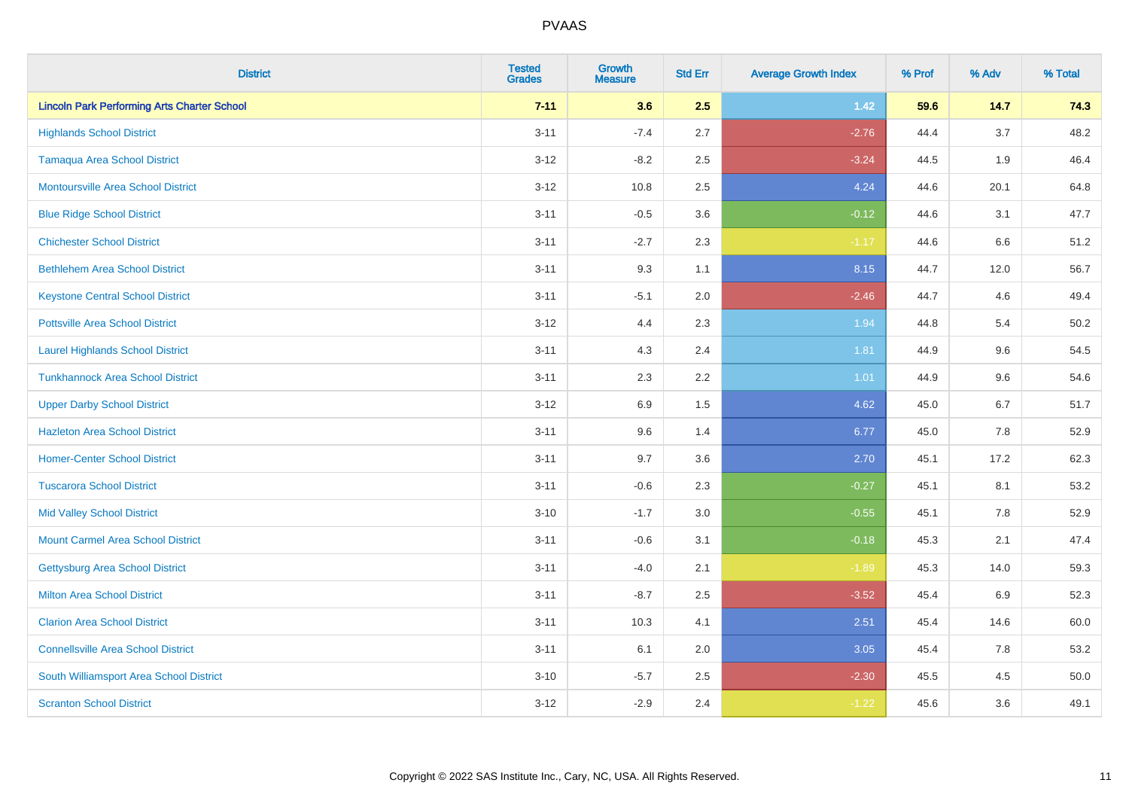| <b>District</b>                                    | <b>Tested</b><br><b>Grades</b> | <b>Growth</b><br><b>Measure</b> | <b>Std Err</b> | <b>Average Growth Index</b> | % Prof | % Adv | % Total |
|----------------------------------------------------|--------------------------------|---------------------------------|----------------|-----------------------------|--------|-------|---------|
| <b>Lincoln Park Performing Arts Charter School</b> | $7 - 11$                       | 3.6                             | 2.5            | $1.42$                      | 59.6   | 14.7  | 74.3    |
| <b>Highlands School District</b>                   | $3 - 11$                       | $-7.4$                          | 2.7            | $-2.76$                     | 44.4   | 3.7   | 48.2    |
| <b>Tamaqua Area School District</b>                | $3-12$                         | $-8.2$                          | 2.5            | $-3.24$                     | 44.5   | 1.9   | 46.4    |
| <b>Montoursville Area School District</b>          | $3 - 12$                       | 10.8                            | 2.5            | 4.24                        | 44.6   | 20.1  | 64.8    |
| <b>Blue Ridge School District</b>                  | $3 - 11$                       | $-0.5$                          | 3.6            | $-0.12$                     | 44.6   | 3.1   | 47.7    |
| <b>Chichester School District</b>                  | $3 - 11$                       | $-2.7$                          | 2.3            | $-1.17$                     | 44.6   | 6.6   | 51.2    |
| <b>Bethlehem Area School District</b>              | $3 - 11$                       | 9.3                             | 1.1            | 8.15                        | 44.7   | 12.0  | 56.7    |
| <b>Keystone Central School District</b>            | $3 - 11$                       | $-5.1$                          | 2.0            | $-2.46$                     | 44.7   | 4.6   | 49.4    |
| <b>Pottsville Area School District</b>             | $3-12$                         | 4.4                             | 2.3            | 1.94                        | 44.8   | 5.4   | 50.2    |
| <b>Laurel Highlands School District</b>            | $3 - 11$                       | 4.3                             | 2.4            | 1.81                        | 44.9   | 9.6   | 54.5    |
| <b>Tunkhannock Area School District</b>            | $3 - 11$                       | 2.3                             | 2.2            | 1.01                        | 44.9   | 9.6   | 54.6    |
| <b>Upper Darby School District</b>                 | $3 - 12$                       | 6.9                             | 1.5            | 4.62                        | 45.0   | 6.7   | 51.7    |
| <b>Hazleton Area School District</b>               | $3 - 11$                       | 9.6                             | 1.4            | 6.77                        | 45.0   | 7.8   | 52.9    |
| <b>Homer-Center School District</b>                | $3 - 11$                       | 9.7                             | 3.6            | 2.70                        | 45.1   | 17.2  | 62.3    |
| <b>Tuscarora School District</b>                   | $3 - 11$                       | $-0.6$                          | 2.3            | $-0.27$                     | 45.1   | 8.1   | 53.2    |
| <b>Mid Valley School District</b>                  | $3 - 10$                       | $-1.7$                          | 3.0            | $-0.55$                     | 45.1   | 7.8   | 52.9    |
| <b>Mount Carmel Area School District</b>           | $3 - 11$                       | $-0.6$                          | 3.1            | $-0.18$                     | 45.3   | 2.1   | 47.4    |
| Gettysburg Area School District                    | $3 - 11$                       | $-4.0$                          | 2.1            | $-1.89$                     | 45.3   | 14.0  | 59.3    |
| <b>Milton Area School District</b>                 | $3 - 11$                       | $-8.7$                          | 2.5            | $-3.52$                     | 45.4   | 6.9   | 52.3    |
| <b>Clarion Area School District</b>                | $3 - 11$                       | 10.3                            | 4.1            | 2.51                        | 45.4   | 14.6  | 60.0    |
| <b>Connellsville Area School District</b>          | $3 - 11$                       | 6.1                             | 2.0            | 3.05                        | 45.4   | 7.8   | 53.2    |
| South Williamsport Area School District            | $3 - 10$                       | $-5.7$                          | 2.5            | $-2.30$                     | 45.5   | 4.5   | 50.0    |
| <b>Scranton School District</b>                    | $3 - 12$                       | $-2.9$                          | 2.4            | $-1.22$                     | 45.6   | 3.6   | 49.1    |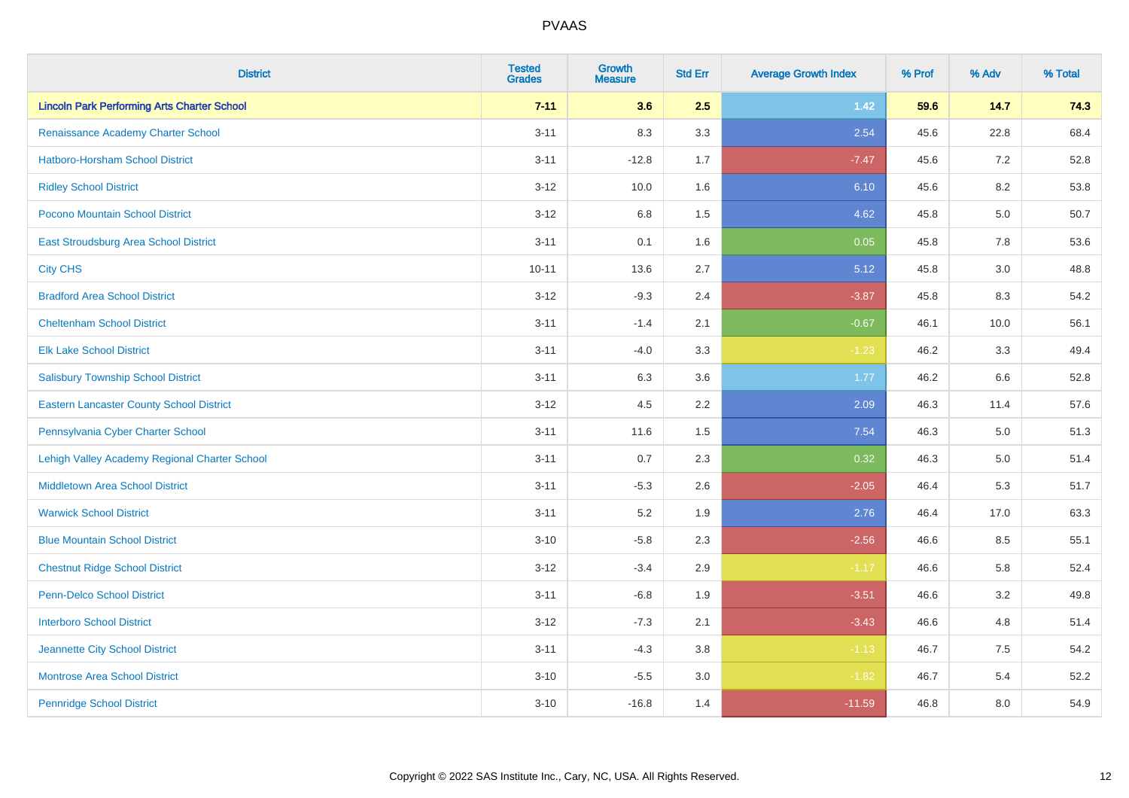| <b>District</b>                                    | <b>Tested</b><br><b>Grades</b> | Growth<br><b>Measure</b> | <b>Std Err</b> | <b>Average Growth Index</b> | % Prof | % Adv   | % Total |
|----------------------------------------------------|--------------------------------|--------------------------|----------------|-----------------------------|--------|---------|---------|
| <b>Lincoln Park Performing Arts Charter School</b> | $7 - 11$                       | 3.6                      | 2.5            | $1.42$                      | 59.6   | 14.7    | 74.3    |
| Renaissance Academy Charter School                 | $3 - 11$                       | 8.3                      | 3.3            | 2.54                        | 45.6   | 22.8    | 68.4    |
| Hatboro-Horsham School District                    | $3 - 11$                       | $-12.8$                  | 1.7            | $-7.47$                     | 45.6   | 7.2     | 52.8    |
| <b>Ridley School District</b>                      | $3 - 12$                       | 10.0                     | 1.6            | 6.10                        | 45.6   | 8.2     | 53.8    |
| Pocono Mountain School District                    | $3 - 12$                       | 6.8                      | 1.5            | 4.62                        | 45.8   | 5.0     | 50.7    |
| <b>East Stroudsburg Area School District</b>       | $3 - 11$                       | 0.1                      | 1.6            | 0.05                        | 45.8   | $7.8\,$ | 53.6    |
| <b>City CHS</b>                                    | $10 - 11$                      | 13.6                     | 2.7            | 5.12                        | 45.8   | 3.0     | 48.8    |
| <b>Bradford Area School District</b>               | $3 - 12$                       | $-9.3$                   | 2.4            | $-3.87$                     | 45.8   | 8.3     | 54.2    |
| <b>Cheltenham School District</b>                  | $3 - 11$                       | $-1.4$                   | 2.1            | $-0.67$                     | 46.1   | 10.0    | 56.1    |
| <b>Elk Lake School District</b>                    | $3 - 11$                       | $-4.0$                   | 3.3            | $-1.23$                     | 46.2   | 3.3     | 49.4    |
| <b>Salisbury Township School District</b>          | $3 - 11$                       | 6.3                      | 3.6            | 1.77                        | 46.2   | 6.6     | 52.8    |
| <b>Eastern Lancaster County School District</b>    | $3 - 12$                       | 4.5                      | 2.2            | 2.09                        | 46.3   | 11.4    | 57.6    |
| Pennsylvania Cyber Charter School                  | $3 - 11$                       | 11.6                     | 1.5            | 7.54                        | 46.3   | 5.0     | 51.3    |
| Lehigh Valley Academy Regional Charter School      | $3 - 11$                       | 0.7                      | 2.3            | 0.32                        | 46.3   | 5.0     | 51.4    |
| <b>Middletown Area School District</b>             | $3 - 11$                       | $-5.3$                   | 2.6            | $-2.05$                     | 46.4   | 5.3     | 51.7    |
| <b>Warwick School District</b>                     | $3 - 11$                       | 5.2                      | 1.9            | 2.76                        | 46.4   | 17.0    | 63.3    |
| <b>Blue Mountain School District</b>               | $3 - 10$                       | $-5.8$                   | 2.3            | $-2.56$                     | 46.6   | 8.5     | 55.1    |
| <b>Chestnut Ridge School District</b>              | $3 - 12$                       | $-3.4$                   | 2.9            | $-1.17$                     | 46.6   | 5.8     | 52.4    |
| Penn-Delco School District                         | $3 - 11$                       | $-6.8$                   | 1.9            | $-3.51$                     | 46.6   | 3.2     | 49.8    |
| <b>Interboro School District</b>                   | $3 - 12$                       | $-7.3$                   | 2.1            | $-3.43$                     | 46.6   | 4.8     | 51.4    |
| Jeannette City School District                     | $3 - 11$                       | $-4.3$                   | 3.8            | $-1.13$                     | 46.7   | 7.5     | 54.2    |
| <b>Montrose Area School District</b>               | $3 - 10$                       | $-5.5$                   | 3.0            | $-1.82$                     | 46.7   | 5.4     | 52.2    |
| <b>Pennridge School District</b>                   | $3 - 10$                       | $-16.8$                  | 1.4            | $-11.59$                    | 46.8   | 8.0     | 54.9    |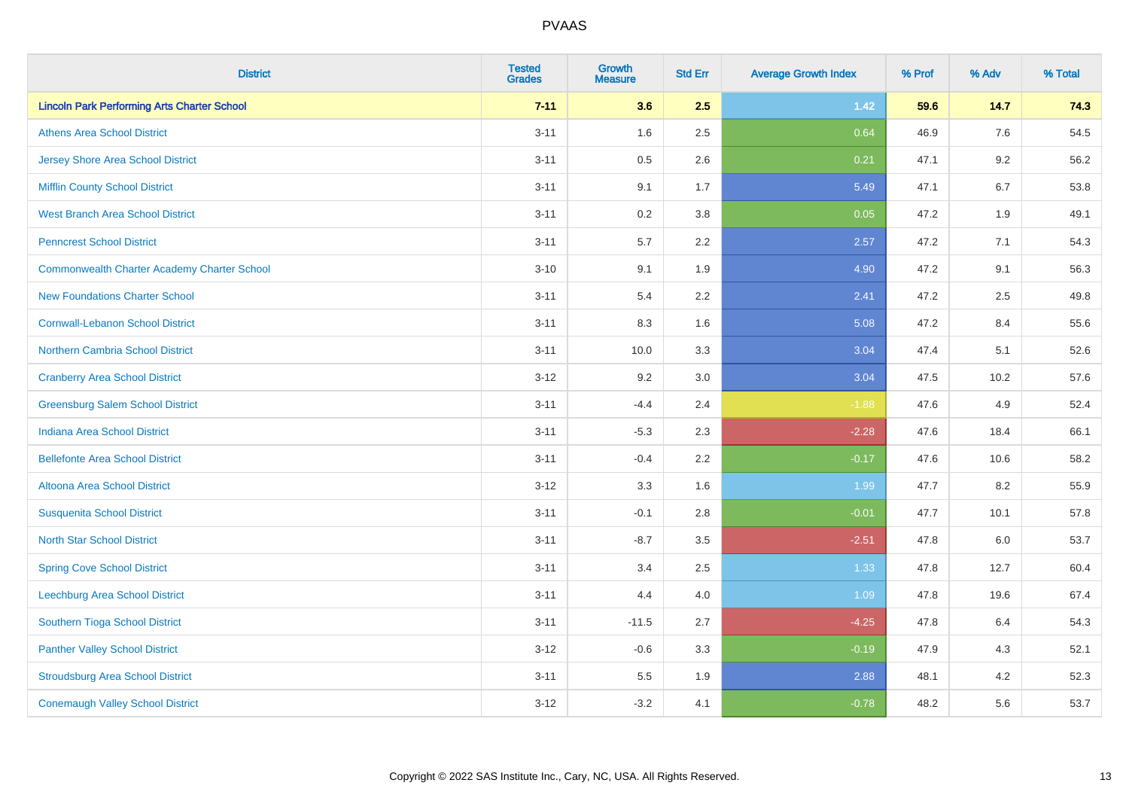| <b>District</b>                                    | <b>Tested</b><br><b>Grades</b> | Growth<br><b>Measure</b> | <b>Std Err</b> | <b>Average Growth Index</b> | % Prof | % Adv   | % Total |
|----------------------------------------------------|--------------------------------|--------------------------|----------------|-----------------------------|--------|---------|---------|
| <b>Lincoln Park Performing Arts Charter School</b> | $7 - 11$                       | 3.6                      | 2.5            | $1.42$                      | 59.6   | 14.7    | 74.3    |
| <b>Athens Area School District</b>                 | $3 - 11$                       | 1.6                      | 2.5            | 0.64                        | 46.9   | $7.6\,$ | 54.5    |
| <b>Jersey Shore Area School District</b>           | $3 - 11$                       | 0.5                      | 2.6            | 0.21                        | 47.1   | 9.2     | 56.2    |
| <b>Mifflin County School District</b>              | $3 - 11$                       | 9.1                      | 1.7            | 5.49                        | 47.1   | 6.7     | 53.8    |
| <b>West Branch Area School District</b>            | $3 - 11$                       | 0.2                      | 3.8            | 0.05                        | 47.2   | 1.9     | 49.1    |
| <b>Penncrest School District</b>                   | $3 - 11$                       | 5.7                      | 2.2            | 2.57                        | 47.2   | 7.1     | 54.3    |
| <b>Commonwealth Charter Academy Charter School</b> | $3 - 10$                       | 9.1                      | 1.9            | 4.90                        | 47.2   | 9.1     | 56.3    |
| <b>New Foundations Charter School</b>              | $3 - 11$                       | 5.4                      | 2.2            | 2.41                        | 47.2   | 2.5     | 49.8    |
| <b>Cornwall-Lebanon School District</b>            | $3 - 11$                       | 8.3                      | 1.6            | 5.08                        | 47.2   | 8.4     | 55.6    |
| <b>Northern Cambria School District</b>            | $3 - 11$                       | 10.0                     | 3.3            | 3.04                        | 47.4   | 5.1     | 52.6    |
| <b>Cranberry Area School District</b>              | $3 - 12$                       | 9.2                      | 3.0            | 3.04                        | 47.5   | 10.2    | 57.6    |
| <b>Greensburg Salem School District</b>            | $3 - 11$                       | $-4.4$                   | 2.4            | $-1.88$                     | 47.6   | 4.9     | 52.4    |
| Indiana Area School District                       | $3 - 11$                       | $-5.3$                   | 2.3            | $-2.28$                     | 47.6   | 18.4    | 66.1    |
| <b>Bellefonte Area School District</b>             | $3 - 11$                       | $-0.4$                   | 2.2            | $-0.17$                     | 47.6   | 10.6    | 58.2    |
| Altoona Area School District                       | $3 - 12$                       | 3.3                      | 1.6            | 1.99                        | 47.7   | 8.2     | 55.9    |
| <b>Susquenita School District</b>                  | $3 - 11$                       | $-0.1$                   | 2.8            | $-0.01$                     | 47.7   | 10.1    | 57.8    |
| <b>North Star School District</b>                  | $3 - 11$                       | $-8.7$                   | 3.5            | $-2.51$                     | 47.8   | 6.0     | 53.7    |
| <b>Spring Cove School District</b>                 | $3 - 11$                       | 3.4                      | 2.5            | 1.33                        | 47.8   | 12.7    | 60.4    |
| <b>Leechburg Area School District</b>              | $3 - 11$                       | 4.4                      | 4.0            | 1.09                        | 47.8   | 19.6    | 67.4    |
| Southern Tioga School District                     | $3 - 11$                       | $-11.5$                  | 2.7            | $-4.25$                     | 47.8   | 6.4     | 54.3    |
| <b>Panther Valley School District</b>              | $3 - 12$                       | $-0.6$                   | 3.3            | $-0.19$                     | 47.9   | 4.3     | 52.1    |
| <b>Stroudsburg Area School District</b>            | $3 - 11$                       | 5.5                      | 1.9            | 2.88                        | 48.1   | 4.2     | 52.3    |
| <b>Conemaugh Valley School District</b>            | $3 - 12$                       | $-3.2$                   | 4.1            | $-0.78$                     | 48.2   | 5.6     | 53.7    |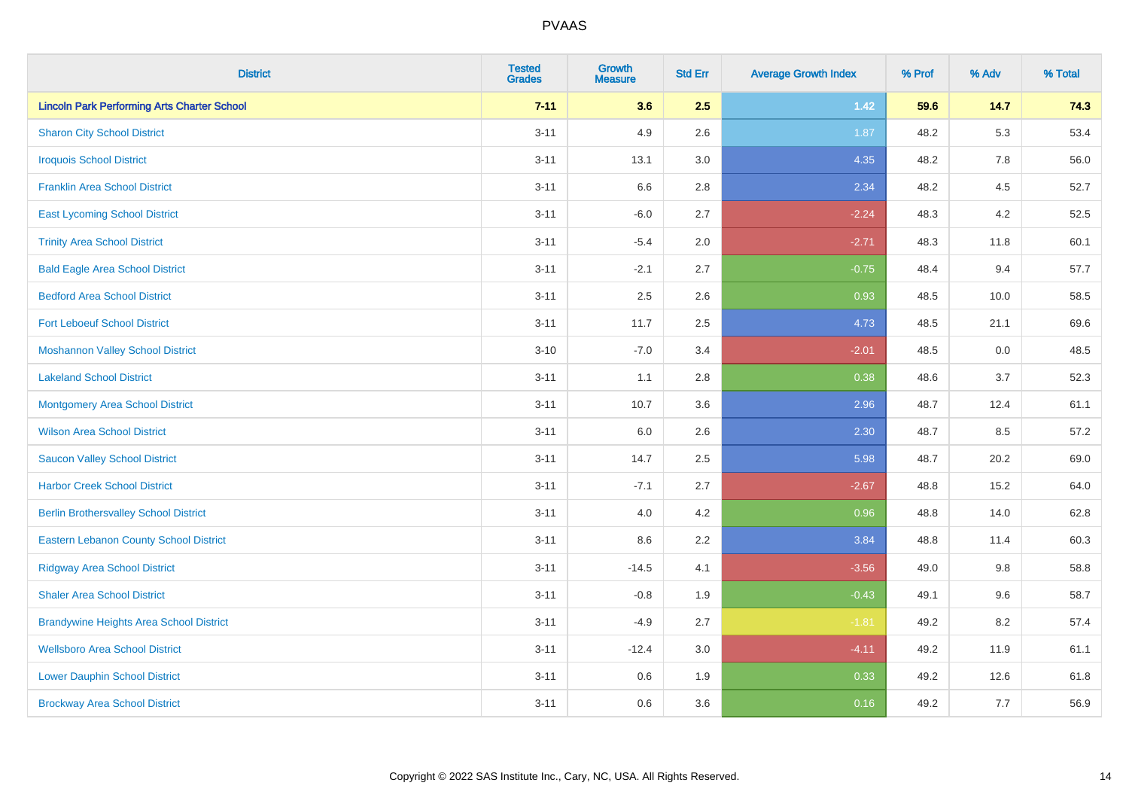| <b>District</b>                                    | <b>Tested</b><br><b>Grades</b> | <b>Growth</b><br><b>Measure</b> | <b>Std Err</b> | <b>Average Growth Index</b> | % Prof | % Adv   | % Total |
|----------------------------------------------------|--------------------------------|---------------------------------|----------------|-----------------------------|--------|---------|---------|
| <b>Lincoln Park Performing Arts Charter School</b> | $7 - 11$                       | 3.6                             | 2.5            | $1.42$                      | 59.6   | 14.7    | 74.3    |
| <b>Sharon City School District</b>                 | $3 - 11$                       | 4.9                             | 2.6            | 1.87                        | 48.2   | 5.3     | 53.4    |
| <b>Iroquois School District</b>                    | $3 - 11$                       | 13.1                            | 3.0            | 4.35                        | 48.2   | 7.8     | 56.0    |
| <b>Franklin Area School District</b>               | $3 - 11$                       | 6.6                             | 2.8            | 2.34                        | 48.2   | 4.5     | 52.7    |
| <b>East Lycoming School District</b>               | $3 - 11$                       | $-6.0$                          | 2.7            | $-2.24$                     | 48.3   | 4.2     | 52.5    |
| <b>Trinity Area School District</b>                | $3 - 11$                       | $-5.4$                          | 2.0            | $-2.71$                     | 48.3   | 11.8    | 60.1    |
| <b>Bald Eagle Area School District</b>             | $3 - 11$                       | $-2.1$                          | 2.7            | $-0.75$                     | 48.4   | 9.4     | 57.7    |
| <b>Bedford Area School District</b>                | $3 - 11$                       | 2.5                             | 2.6            | 0.93                        | 48.5   | 10.0    | 58.5    |
| <b>Fort Leboeuf School District</b>                | $3 - 11$                       | 11.7                            | 2.5            | 4.73                        | 48.5   | 21.1    | 69.6    |
| <b>Moshannon Valley School District</b>            | $3 - 10$                       | $-7.0$                          | 3.4            | $-2.01$                     | 48.5   | 0.0     | 48.5    |
| <b>Lakeland School District</b>                    | $3 - 11$                       | 1.1                             | 2.8            | 0.38                        | 48.6   | 3.7     | 52.3    |
| <b>Montgomery Area School District</b>             | $3 - 11$                       | 10.7                            | 3.6            | 2.96                        | 48.7   | 12.4    | 61.1    |
| <b>Wilson Area School District</b>                 | $3 - 11$                       | 6.0                             | 2.6            | 2.30                        | 48.7   | 8.5     | 57.2    |
| <b>Saucon Valley School District</b>               | $3 - 11$                       | 14.7                            | 2.5            | 5.98                        | 48.7   | 20.2    | 69.0    |
| <b>Harbor Creek School District</b>                | $3 - 11$                       | $-7.1$                          | 2.7            | $-2.67$                     | 48.8   | 15.2    | 64.0    |
| <b>Berlin Brothersvalley School District</b>       | $3 - 11$                       | 4.0                             | 4.2            | 0.96                        | 48.8   | 14.0    | 62.8    |
| <b>Eastern Lebanon County School District</b>      | $3 - 11$                       | 8.6                             | 2.2            | 3.84                        | 48.8   | 11.4    | 60.3    |
| <b>Ridgway Area School District</b>                | $3 - 11$                       | $-14.5$                         | 4.1            | $-3.56$                     | 49.0   | $9.8\,$ | 58.8    |
| <b>Shaler Area School District</b>                 | $3 - 11$                       | $-0.8$                          | 1.9            | $-0.43$                     | 49.1   | 9.6     | 58.7    |
| <b>Brandywine Heights Area School District</b>     | $3 - 11$                       | $-4.9$                          | 2.7            | $-1.81$                     | 49.2   | 8.2     | 57.4    |
| <b>Wellsboro Area School District</b>              | $3 - 11$                       | $-12.4$                         | 3.0            | $-4.11$                     | 49.2   | 11.9    | 61.1    |
| <b>Lower Dauphin School District</b>               | $3 - 11$                       | 0.6                             | 1.9            | 0.33                        | 49.2   | 12.6    | 61.8    |
| <b>Brockway Area School District</b>               | $3 - 11$                       | 0.6                             | 3.6            | 0.16                        | 49.2   | 7.7     | 56.9    |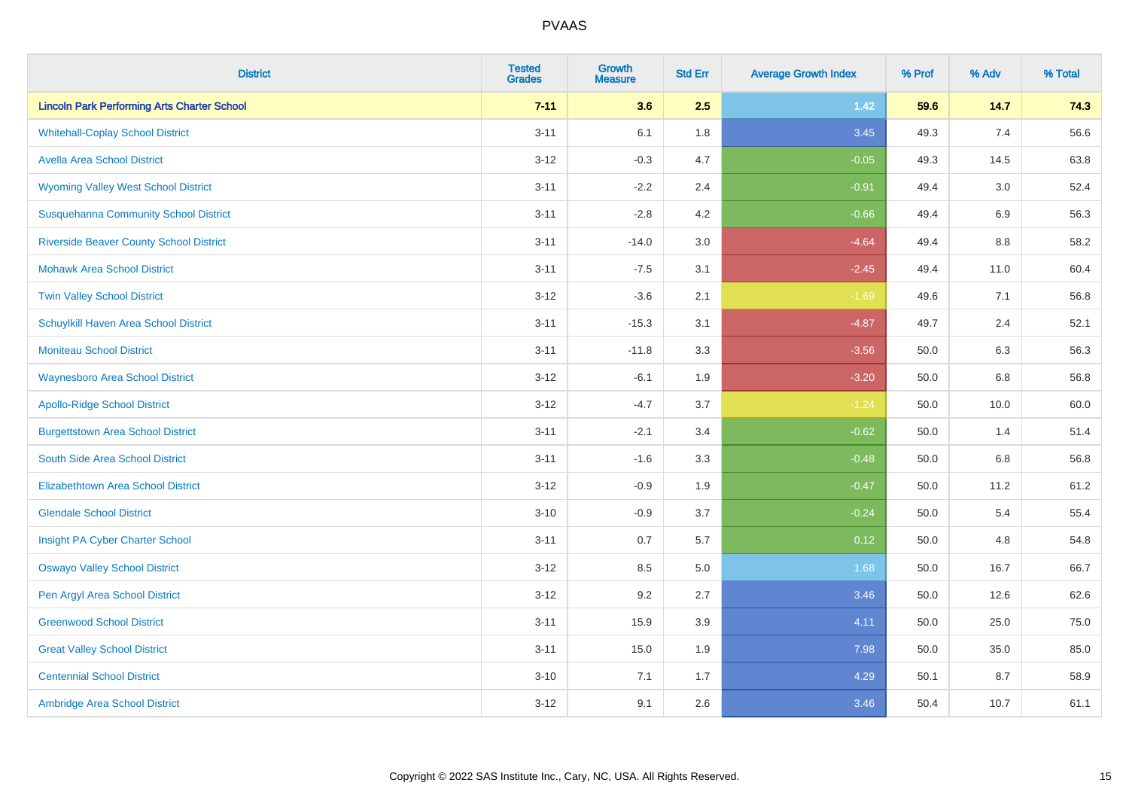| <b>District</b>                                    | <b>Tested</b><br><b>Grades</b> | <b>Growth</b><br><b>Measure</b> | <b>Std Err</b> | <b>Average Growth Index</b> | % Prof | % Adv | % Total |
|----------------------------------------------------|--------------------------------|---------------------------------|----------------|-----------------------------|--------|-------|---------|
| <b>Lincoln Park Performing Arts Charter School</b> | $7 - 11$                       | 3.6                             | 2.5            | $1.42$                      | 59.6   | 14.7  | 74.3    |
| <b>Whitehall-Coplay School District</b>            | $3 - 11$                       | 6.1                             | 1.8            | 3.45                        | 49.3   | 7.4   | 56.6    |
| <b>Avella Area School District</b>                 | $3 - 12$                       | $-0.3$                          | 4.7            | $-0.05$                     | 49.3   | 14.5  | 63.8    |
| <b>Wyoming Valley West School District</b>         | $3 - 11$                       | $-2.2$                          | 2.4            | $-0.91$                     | 49.4   | 3.0   | 52.4    |
| <b>Susquehanna Community School District</b>       | $3 - 11$                       | $-2.8$                          | 4.2            | $-0.66$                     | 49.4   | 6.9   | 56.3    |
| <b>Riverside Beaver County School District</b>     | $3 - 11$                       | $-14.0$                         | 3.0            | $-4.64$                     | 49.4   | 8.8   | 58.2    |
| <b>Mohawk Area School District</b>                 | $3 - 11$                       | $-7.5$                          | 3.1            | $-2.45$                     | 49.4   | 11.0  | 60.4    |
| <b>Twin Valley School District</b>                 | $3 - 12$                       | $-3.6$                          | 2.1            | $-1.69$                     | 49.6   | 7.1   | 56.8    |
| Schuylkill Haven Area School District              | $3 - 11$                       | $-15.3$                         | 3.1            | $-4.87$                     | 49.7   | 2.4   | 52.1    |
| <b>Moniteau School District</b>                    | $3 - 11$                       | $-11.8$                         | 3.3            | $-3.56$                     | 50.0   | 6.3   | 56.3    |
| <b>Waynesboro Area School District</b>             | $3 - 12$                       | $-6.1$                          | 1.9            | $-3.20$                     | 50.0   | 6.8   | 56.8    |
| <b>Apollo-Ridge School District</b>                | $3 - 12$                       | $-4.7$                          | 3.7            | $-1.24$                     | 50.0   | 10.0  | 60.0    |
| <b>Burgettstown Area School District</b>           | $3 - 11$                       | $-2.1$                          | 3.4            | $-0.62$                     | 50.0   | 1.4   | 51.4    |
| South Side Area School District                    | $3 - 11$                       | $-1.6$                          | 3.3            | $-0.48$                     | 50.0   | 6.8   | 56.8    |
| <b>Elizabethtown Area School District</b>          | $3 - 12$                       | $-0.9$                          | 1.9            | $-0.47$                     | 50.0   | 11.2  | 61.2    |
| <b>Glendale School District</b>                    | $3 - 10$                       | $-0.9$                          | 3.7            | $-0.24$                     | 50.0   | 5.4   | 55.4    |
| Insight PA Cyber Charter School                    | $3 - 11$                       | 0.7                             | 5.7            | 0.12                        | 50.0   | 4.8   | 54.8    |
| <b>Oswayo Valley School District</b>               | $3 - 12$                       | 8.5                             | 5.0            | 1.68                        | 50.0   | 16.7  | 66.7    |
| Pen Argyl Area School District                     | $3 - 12$                       | 9.2                             | 2.7            | 3.46                        | 50.0   | 12.6  | 62.6    |
| <b>Greenwood School District</b>                   | $3 - 11$                       | 15.9                            | 3.9            | 4.11                        | 50.0   | 25.0  | 75.0    |
| <b>Great Valley School District</b>                | $3 - 11$                       | 15.0                            | 1.9            | 7.98                        | 50.0   | 35.0  | 85.0    |
| <b>Centennial School District</b>                  | $3 - 10$                       | 7.1                             | 1.7            | 4.29                        | 50.1   | 8.7   | 58.9    |
| Ambridge Area School District                      | $3 - 12$                       | 9.1                             | 2.6            | 3.46                        | 50.4   | 10.7  | 61.1    |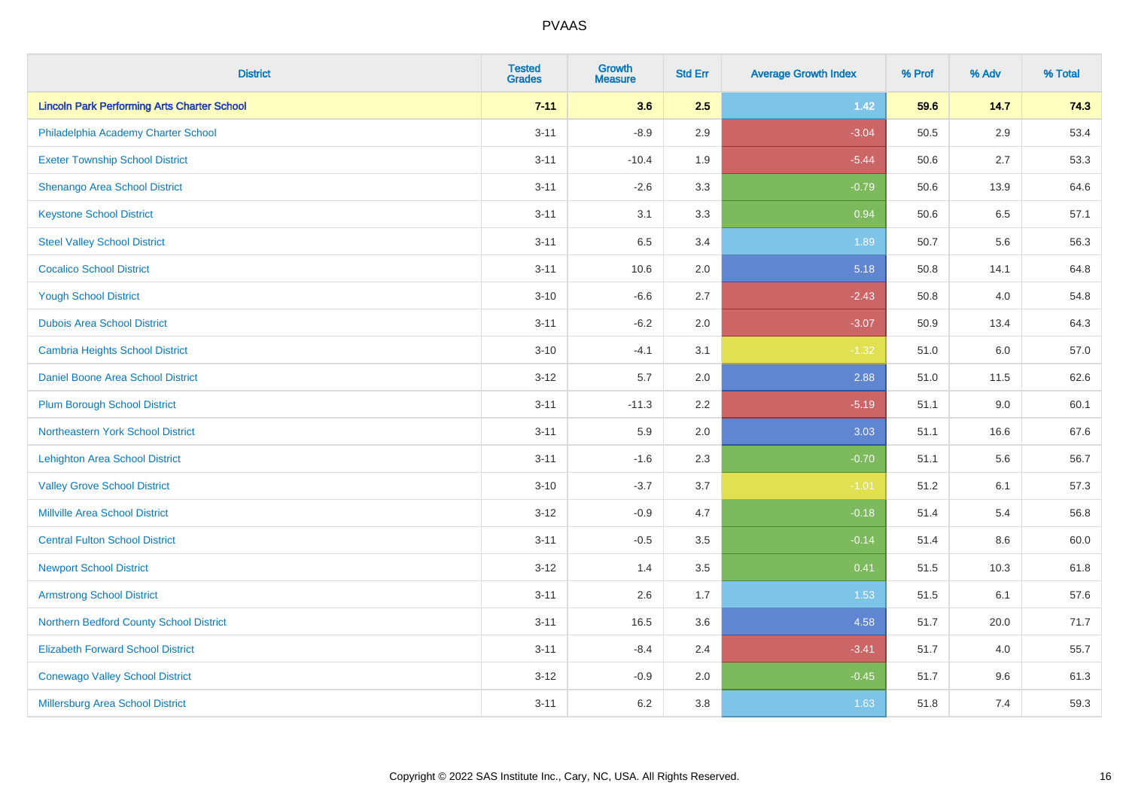| <b>District</b>                                    | <b>Tested</b><br><b>Grades</b> | <b>Growth</b><br><b>Measure</b> | <b>Std Err</b> | <b>Average Growth Index</b> | % Prof | % Adv   | % Total |
|----------------------------------------------------|--------------------------------|---------------------------------|----------------|-----------------------------|--------|---------|---------|
| <b>Lincoln Park Performing Arts Charter School</b> | $7 - 11$                       | 3.6                             | 2.5            | 1.42                        | 59.6   | 14.7    | 74.3    |
| Philadelphia Academy Charter School                | $3 - 11$                       | $-8.9$                          | 2.9            | $-3.04$                     | 50.5   | $2.9\,$ | 53.4    |
| <b>Exeter Township School District</b>             | $3 - 11$                       | $-10.4$                         | 1.9            | $-5.44$                     | 50.6   | 2.7     | 53.3    |
| Shenango Area School District                      | $3 - 11$                       | $-2.6$                          | 3.3            | $-0.79$                     | 50.6   | 13.9    | 64.6    |
| <b>Keystone School District</b>                    | $3 - 11$                       | 3.1                             | 3.3            | 0.94                        | 50.6   | 6.5     | 57.1    |
| <b>Steel Valley School District</b>                | $3 - 11$                       | 6.5                             | 3.4            | 1.89                        | 50.7   | 5.6     | 56.3    |
| <b>Cocalico School District</b>                    | $3 - 11$                       | 10.6                            | 2.0            | 5.18                        | 50.8   | 14.1    | 64.8    |
| <b>Yough School District</b>                       | $3 - 10$                       | $-6.6$                          | 2.7            | $-2.43$                     | 50.8   | 4.0     | 54.8    |
| <b>Dubois Area School District</b>                 | $3 - 11$                       | $-6.2$                          | 2.0            | $-3.07$                     | 50.9   | 13.4    | 64.3    |
| <b>Cambria Heights School District</b>             | $3 - 10$                       | $-4.1$                          | 3.1            | $-1.32$                     | 51.0   | 6.0     | 57.0    |
| Daniel Boone Area School District                  | $3 - 12$                       | 5.7                             | 2.0            | 2.88                        | 51.0   | 11.5    | 62.6    |
| <b>Plum Borough School District</b>                | $3 - 11$                       | $-11.3$                         | 2.2            | $-5.19$                     | 51.1   | 9.0     | 60.1    |
| Northeastern York School District                  | $3 - 11$                       | 5.9                             | 2.0            | 3.03                        | 51.1   | 16.6    | 67.6    |
| <b>Lehighton Area School District</b>              | $3 - 11$                       | $-1.6$                          | 2.3            | $-0.70$                     | 51.1   | 5.6     | 56.7    |
| <b>Valley Grove School District</b>                | $3 - 10$                       | $-3.7$                          | 3.7            | $-1.01$                     | 51.2   | 6.1     | 57.3    |
| <b>Millville Area School District</b>              | $3 - 12$                       | $-0.9$                          | 4.7            | $-0.18$                     | 51.4   | 5.4     | 56.8    |
| <b>Central Fulton School District</b>              | $3 - 11$                       | $-0.5$                          | 3.5            | $-0.14$                     | 51.4   | $8.6\,$ | 60.0    |
| <b>Newport School District</b>                     | $3 - 12$                       | 1.4                             | 3.5            | 0.41                        | 51.5   | 10.3    | 61.8    |
| <b>Armstrong School District</b>                   | $3 - 11$                       | 2.6                             | 1.7            | 1.53                        | 51.5   | 6.1     | 57.6    |
| Northern Bedford County School District            | $3 - 11$                       | 16.5                            | 3.6            | 4.58                        | 51.7   | 20.0    | 71.7    |
| <b>Elizabeth Forward School District</b>           | $3 - 11$                       | $-8.4$                          | 2.4            | $-3.41$                     | 51.7   | 4.0     | 55.7    |
| <b>Conewago Valley School District</b>             | $3 - 12$                       | $-0.9$                          | 2.0            | $-0.45$                     | 51.7   | 9.6     | 61.3    |
| Millersburg Area School District                   | $3 - 11$                       | 6.2                             | 3.8            | 1.63                        | 51.8   | 7.4     | 59.3    |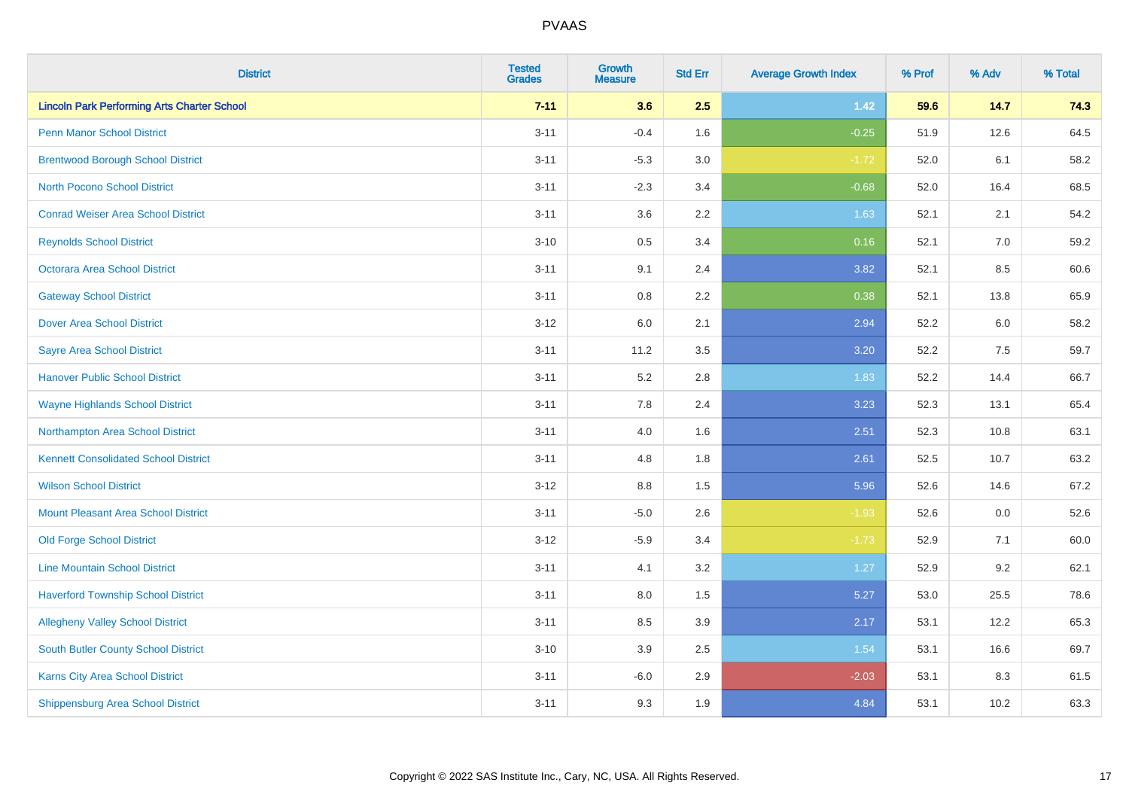| <b>District</b>                                    | <b>Tested</b><br><b>Grades</b> | <b>Growth</b><br><b>Measure</b> | <b>Std Err</b> | <b>Average Growth Index</b> | % Prof | % Adv | % Total |
|----------------------------------------------------|--------------------------------|---------------------------------|----------------|-----------------------------|--------|-------|---------|
| <b>Lincoln Park Performing Arts Charter School</b> | $7 - 11$                       | 3.6                             | 2.5            | $1.42$                      | 59.6   | 14.7  | 74.3    |
| Penn Manor School District                         | $3 - 11$                       | $-0.4$                          | 1.6            | $-0.25$                     | 51.9   | 12.6  | 64.5    |
| <b>Brentwood Borough School District</b>           | $3 - 11$                       | $-5.3$                          | 3.0            | $-1.72$                     | 52.0   | 6.1   | 58.2    |
| North Pocono School District                       | $3 - 11$                       | $-2.3$                          | 3.4            | $-0.68$                     | 52.0   | 16.4  | 68.5    |
| <b>Conrad Weiser Area School District</b>          | $3 - 11$                       | 3.6                             | 2.2            | 1.63                        | 52.1   | 2.1   | 54.2    |
| <b>Reynolds School District</b>                    | $3 - 10$                       | 0.5                             | 3.4            | 0.16                        | 52.1   | 7.0   | 59.2    |
| Octorara Area School District                      | $3 - 11$                       | 9.1                             | 2.4            | 3.82                        | 52.1   | 8.5   | 60.6    |
| <b>Gateway School District</b>                     | $3 - 11$                       | 0.8                             | 2.2            | 0.38                        | 52.1   | 13.8  | 65.9    |
| <b>Dover Area School District</b>                  | $3 - 12$                       | 6.0                             | 2.1            | 2.94                        | 52.2   | 6.0   | 58.2    |
| <b>Sayre Area School District</b>                  | $3 - 11$                       | 11.2                            | 3.5            | 3.20                        | 52.2   | 7.5   | 59.7    |
| <b>Hanover Public School District</b>              | $3 - 11$                       | 5.2                             | 2.8            | 1.83                        | 52.2   | 14.4  | 66.7    |
| <b>Wayne Highlands School District</b>             | $3 - 11$                       | 7.8                             | 2.4            | 3.23                        | 52.3   | 13.1  | 65.4    |
| Northampton Area School District                   | $3 - 11$                       | 4.0                             | 1.6            | 2.51                        | 52.3   | 10.8  | 63.1    |
| <b>Kennett Consolidated School District</b>        | $3 - 11$                       | 4.8                             | 1.8            | 2.61                        | 52.5   | 10.7  | 63.2    |
| <b>Wilson School District</b>                      | $3 - 12$                       | $8.8\,$                         | 1.5            | 5.96                        | 52.6   | 14.6  | 67.2    |
| <b>Mount Pleasant Area School District</b>         | $3 - 11$                       | $-5.0$                          | 2.6            | $-1.93$                     | 52.6   | 0.0   | 52.6    |
| <b>Old Forge School District</b>                   | $3 - 12$                       | $-5.9$                          | 3.4            | $-1.73$                     | 52.9   | 7.1   | 60.0    |
| <b>Line Mountain School District</b>               | $3 - 11$                       | 4.1                             | 3.2            | 1.27                        | 52.9   | 9.2   | 62.1    |
| <b>Haverford Township School District</b>          | $3 - 11$                       | $8.0\,$                         | 1.5            | 5.27                        | 53.0   | 25.5  | 78.6    |
| <b>Allegheny Valley School District</b>            | $3 - 11$                       | 8.5                             | 3.9            | 2.17                        | 53.1   | 12.2  | 65.3    |
| <b>South Butler County School District</b>         | $3 - 10$                       | 3.9                             | 2.5            | 1.54                        | 53.1   | 16.6  | 69.7    |
| <b>Karns City Area School District</b>             | $3 - 11$                       | $-6.0$                          | 2.9            | $-2.03$                     | 53.1   | 8.3   | 61.5    |
| <b>Shippensburg Area School District</b>           | $3 - 11$                       | 9.3                             | 1.9            | 4.84                        | 53.1   | 10.2  | 63.3    |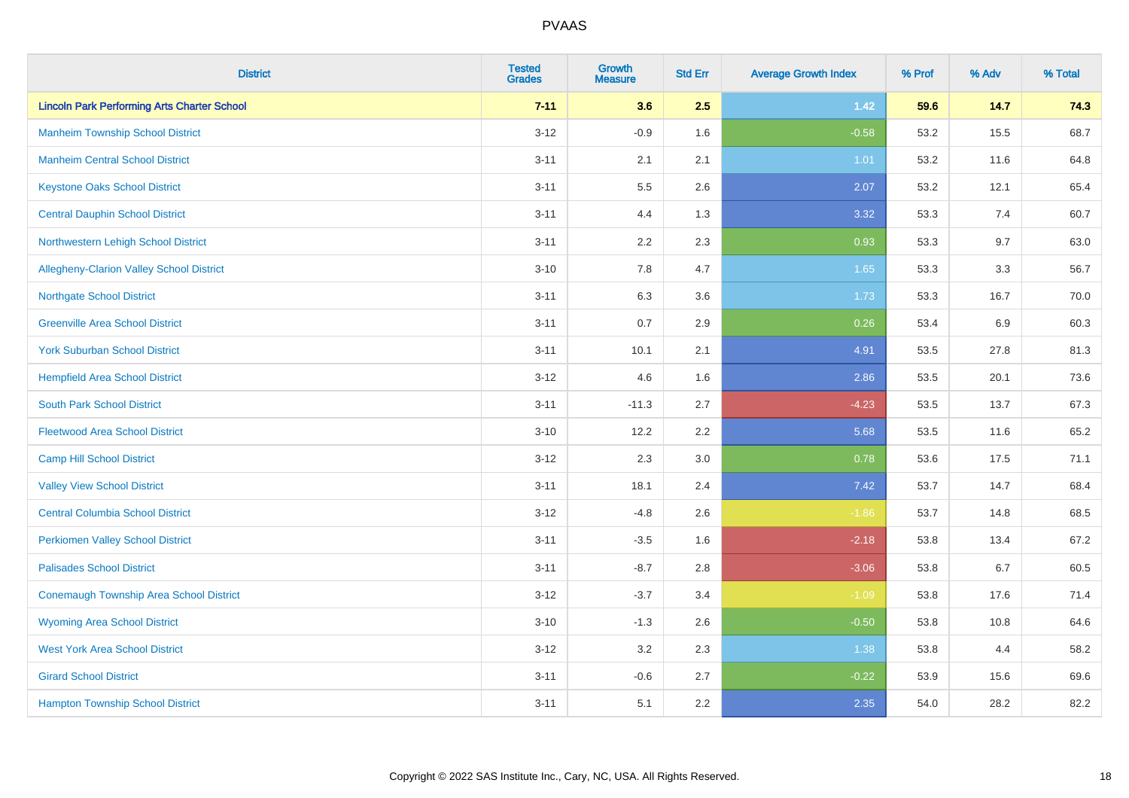| <b>District</b>                                    | <b>Tested</b><br><b>Grades</b> | Growth<br><b>Measure</b> | <b>Std Err</b> | <b>Average Growth Index</b> | % Prof | % Adv | % Total |
|----------------------------------------------------|--------------------------------|--------------------------|----------------|-----------------------------|--------|-------|---------|
| <b>Lincoln Park Performing Arts Charter School</b> | $7 - 11$                       | 3.6                      | 2.5            | $1.42$                      | 59.6   | 14.7  | 74.3    |
| <b>Manheim Township School District</b>            | $3 - 12$                       | $-0.9$                   | 1.6            | $-0.58$                     | 53.2   | 15.5  | 68.7    |
| <b>Manheim Central School District</b>             | $3 - 11$                       | 2.1                      | 2.1            | 1.01                        | 53.2   | 11.6  | 64.8    |
| <b>Keystone Oaks School District</b>               | $3 - 11$                       | 5.5                      | 2.6            | 2.07                        | 53.2   | 12.1  | 65.4    |
| <b>Central Dauphin School District</b>             | $3 - 11$                       | 4.4                      | 1.3            | 3.32                        | 53.3   | 7.4   | 60.7    |
| Northwestern Lehigh School District                | $3 - 11$                       | 2.2                      | 2.3            | 0.93                        | 53.3   | 9.7   | 63.0    |
| Allegheny-Clarion Valley School District           | $3 - 10$                       | 7.8                      | 4.7            | 1.65                        | 53.3   | 3.3   | 56.7    |
| <b>Northgate School District</b>                   | $3 - 11$                       | 6.3                      | 3.6            | 1.73                        | 53.3   | 16.7  | 70.0    |
| <b>Greenville Area School District</b>             | $3 - 11$                       | 0.7                      | 2.9            | 0.26                        | 53.4   | 6.9   | 60.3    |
| <b>York Suburban School District</b>               | $3 - 11$                       | 10.1                     | 2.1            | 4.91                        | 53.5   | 27.8  | 81.3    |
| <b>Hempfield Area School District</b>              | $3 - 12$                       | 4.6                      | 1.6            | 2.86                        | 53.5   | 20.1  | 73.6    |
| <b>South Park School District</b>                  | $3 - 11$                       | $-11.3$                  | 2.7            | $-4.23$                     | 53.5   | 13.7  | 67.3    |
| <b>Fleetwood Area School District</b>              | $3 - 10$                       | 12.2                     | 2.2            | 5.68                        | 53.5   | 11.6  | 65.2    |
| <b>Camp Hill School District</b>                   | $3 - 12$                       | 2.3                      | 3.0            | 0.78                        | 53.6   | 17.5  | 71.1    |
| <b>Valley View School District</b>                 | $3 - 11$                       | 18.1                     | 2.4            | 7.42                        | 53.7   | 14.7  | 68.4    |
| <b>Central Columbia School District</b>            | $3 - 12$                       | $-4.8$                   | 2.6            | $-1.86$                     | 53.7   | 14.8  | 68.5    |
| <b>Perkiomen Valley School District</b>            | $3 - 11$                       | $-3.5$                   | 1.6            | $-2.18$                     | 53.8   | 13.4  | 67.2    |
| <b>Palisades School District</b>                   | $3 - 11$                       | $-8.7$                   | 2.8            | $-3.06$                     | 53.8   | 6.7   | 60.5    |
| <b>Conemaugh Township Area School District</b>     | $3 - 12$                       | $-3.7$                   | 3.4            | $-1.09$                     | 53.8   | 17.6  | 71.4    |
| <b>Wyoming Area School District</b>                | $3 - 10$                       | $-1.3$                   | 2.6            | $-0.50$                     | 53.8   | 10.8  | 64.6    |
| <b>West York Area School District</b>              | $3 - 12$                       | 3.2                      | 2.3            | 1.38                        | 53.8   | 4.4   | 58.2    |
| <b>Girard School District</b>                      | $3 - 11$                       | $-0.6$                   | 2.7            | $-0.22$                     | 53.9   | 15.6  | 69.6    |
| <b>Hampton Township School District</b>            | $3 - 11$                       | 5.1                      | 2.2            | 2.35                        | 54.0   | 28.2  | 82.2    |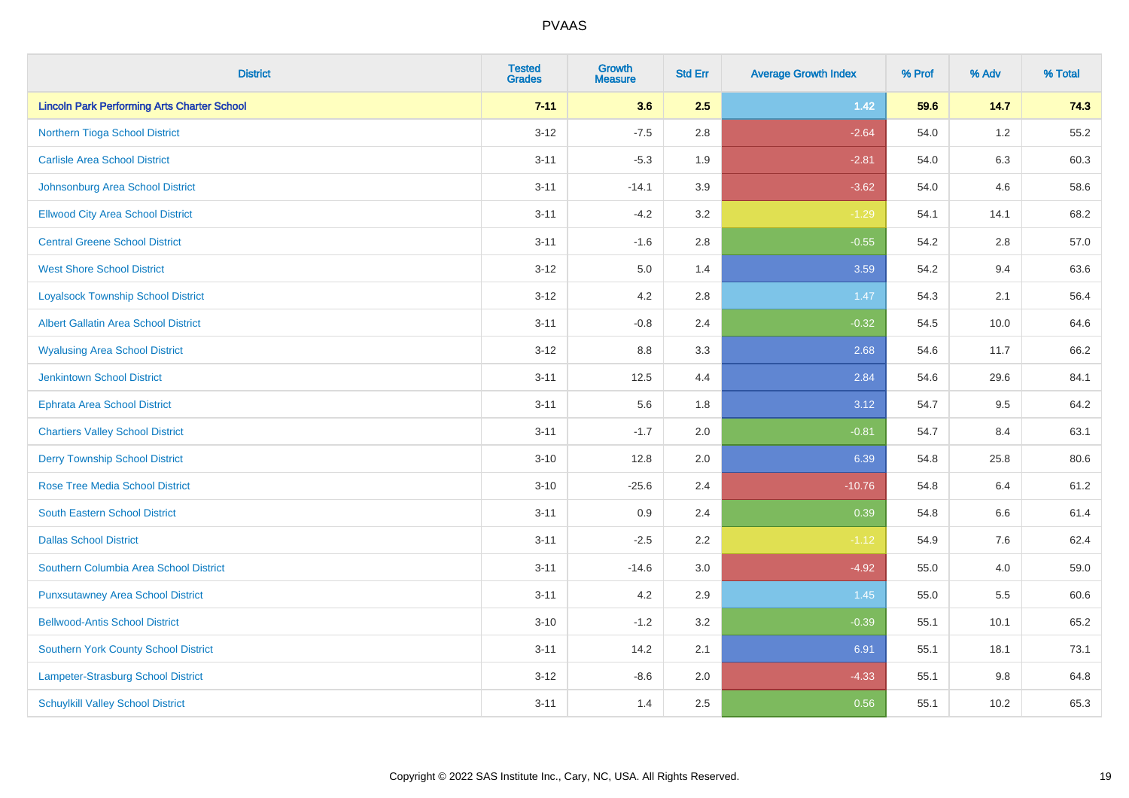| <b>District</b>                                    | <b>Tested</b><br><b>Grades</b> | <b>Growth</b><br><b>Measure</b> | <b>Std Err</b> | <b>Average Growth Index</b> | % Prof | % Adv   | % Total |
|----------------------------------------------------|--------------------------------|---------------------------------|----------------|-----------------------------|--------|---------|---------|
| <b>Lincoln Park Performing Arts Charter School</b> | $7 - 11$                       | 3.6                             | 2.5            | $1.42$                      | 59.6   | 14.7    | 74.3    |
| Northern Tioga School District                     | $3 - 12$                       | $-7.5$                          | 2.8            | $-2.64$                     | 54.0   | $1.2\,$ | 55.2    |
| <b>Carlisle Area School District</b>               | $3 - 11$                       | $-5.3$                          | 1.9            | $-2.81$                     | 54.0   | 6.3     | 60.3    |
| Johnsonburg Area School District                   | $3 - 11$                       | $-14.1$                         | 3.9            | $-3.62$                     | 54.0   | 4.6     | 58.6    |
| <b>Ellwood City Area School District</b>           | $3 - 11$                       | $-4.2$                          | 3.2            | $-1.29$                     | 54.1   | 14.1    | 68.2    |
| <b>Central Greene School District</b>              | $3 - 11$                       | $-1.6$                          | 2.8            | $-0.55$                     | 54.2   | 2.8     | 57.0    |
| <b>West Shore School District</b>                  | $3 - 12$                       | 5.0                             | 1.4            | 3.59                        | 54.2   | 9.4     | 63.6    |
| <b>Loyalsock Township School District</b>          | $3 - 12$                       | 4.2                             | 2.8            | 1.47                        | 54.3   | 2.1     | 56.4    |
| <b>Albert Gallatin Area School District</b>        | $3 - 11$                       | $-0.8$                          | 2.4            | $-0.32$                     | 54.5   | 10.0    | 64.6    |
| <b>Wyalusing Area School District</b>              | $3 - 12$                       | 8.8                             | 3.3            | 2.68                        | 54.6   | 11.7    | 66.2    |
| Jenkintown School District                         | $3 - 11$                       | 12.5                            | 4.4            | 2.84                        | 54.6   | 29.6    | 84.1    |
| <b>Ephrata Area School District</b>                | $3 - 11$                       | 5.6                             | 1.8            | 3.12                        | 54.7   | 9.5     | 64.2    |
| <b>Chartiers Valley School District</b>            | $3 - 11$                       | $-1.7$                          | 2.0            | $-0.81$                     | 54.7   | 8.4     | 63.1    |
| <b>Derry Township School District</b>              | $3 - 10$                       | 12.8                            | 2.0            | 6.39                        | 54.8   | 25.8    | 80.6    |
| <b>Rose Tree Media School District</b>             | $3 - 10$                       | $-25.6$                         | 2.4            | $-10.76$                    | 54.8   | 6.4     | 61.2    |
| <b>South Eastern School District</b>               | $3 - 11$                       | 0.9                             | 2.4            | 0.39                        | 54.8   | 6.6     | 61.4    |
| <b>Dallas School District</b>                      | $3 - 11$                       | $-2.5$                          | 2.2            | $-1.12$                     | 54.9   | 7.6     | 62.4    |
| Southern Columbia Area School District             | $3 - 11$                       | $-14.6$                         | 3.0            | $-4.92$                     | 55.0   | 4.0     | 59.0    |
| <b>Punxsutawney Area School District</b>           | $3 - 11$                       | 4.2                             | 2.9            | 1.45                        | 55.0   | 5.5     | 60.6    |
| <b>Bellwood-Antis School District</b>              | $3 - 10$                       | $-1.2$                          | 3.2            | $-0.39$                     | 55.1   | 10.1    | 65.2    |
| <b>Southern York County School District</b>        | $3 - 11$                       | 14.2                            | 2.1            | 6.91                        | 55.1   | 18.1    | 73.1    |
| Lampeter-Strasburg School District                 | $3 - 12$                       | $-8.6$                          | 2.0            | $-4.33$                     | 55.1   | $9.8\,$ | 64.8    |
| <b>Schuylkill Valley School District</b>           | $3 - 11$                       | 1.4                             | 2.5            | 0.56                        | 55.1   | 10.2    | 65.3    |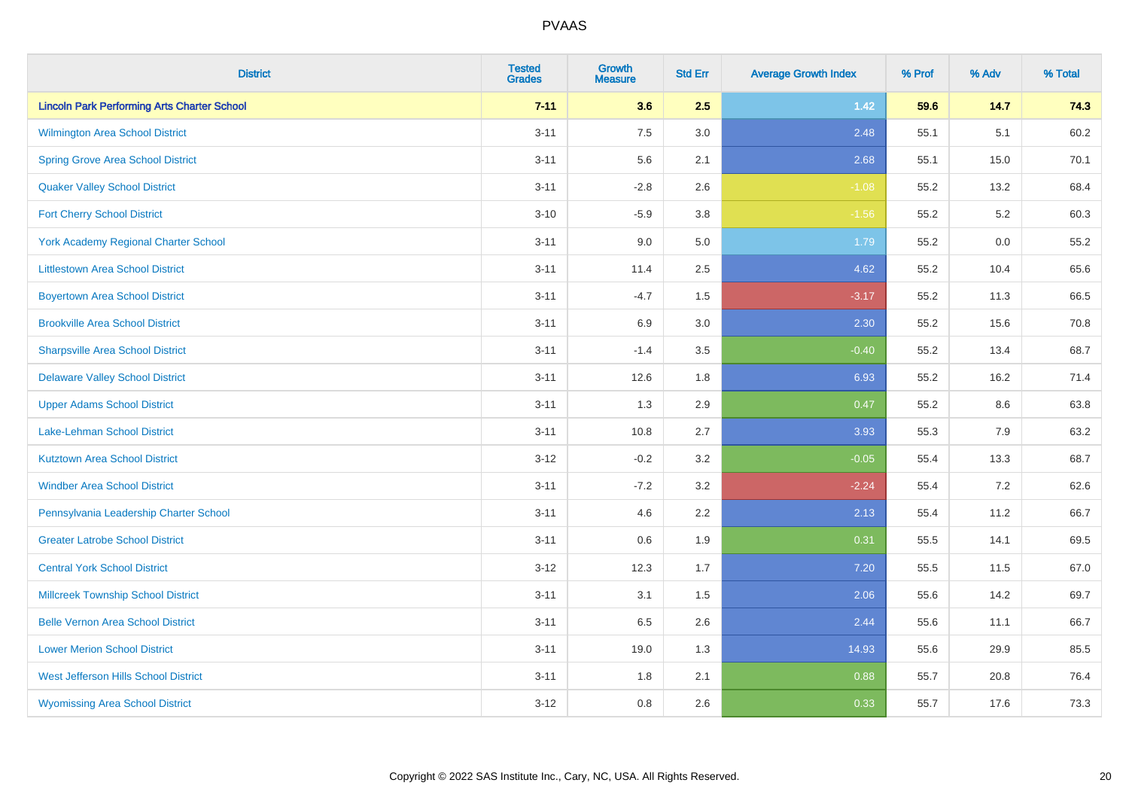| <b>District</b>                                    | <b>Tested</b><br><b>Grades</b> | Growth<br><b>Measure</b> | <b>Std Err</b> | <b>Average Growth Index</b> | % Prof | % Adv   | % Total |
|----------------------------------------------------|--------------------------------|--------------------------|----------------|-----------------------------|--------|---------|---------|
| <b>Lincoln Park Performing Arts Charter School</b> | $7 - 11$                       | 3.6                      | 2.5            | $1.42$                      | 59.6   | 14.7    | 74.3    |
| Wilmington Area School District                    | $3 - 11$                       | 7.5                      | 3.0            | 2.48                        | 55.1   | 5.1     | 60.2    |
| <b>Spring Grove Area School District</b>           | $3 - 11$                       | 5.6                      | 2.1            | 2.68                        | 55.1   | 15.0    | 70.1    |
| <b>Quaker Valley School District</b>               | $3 - 11$                       | $-2.8$                   | 2.6            | $-1.08$                     | 55.2   | 13.2    | 68.4    |
| <b>Fort Cherry School District</b>                 | $3 - 10$                       | $-5.9$                   | 3.8            | $-1.56$                     | 55.2   | 5.2     | 60.3    |
| <b>York Academy Regional Charter School</b>        | $3 - 11$                       | 9.0                      | $5.0\,$        | 1.79                        | 55.2   | $0.0\,$ | 55.2    |
| <b>Littlestown Area School District</b>            | $3 - 11$                       | 11.4                     | 2.5            | 4.62                        | 55.2   | 10.4    | 65.6    |
| <b>Boyertown Area School District</b>              | $3 - 11$                       | $-4.7$                   | 1.5            | $-3.17$                     | 55.2   | 11.3    | 66.5    |
| <b>Brookville Area School District</b>             | $3 - 11$                       | 6.9                      | 3.0            | 2.30                        | 55.2   | 15.6    | 70.8    |
| <b>Sharpsville Area School District</b>            | $3 - 11$                       | $-1.4$                   | 3.5            | $-0.40$                     | 55.2   | 13.4    | 68.7    |
| <b>Delaware Valley School District</b>             | $3 - 11$                       | 12.6                     | 1.8            | 6.93                        | 55.2   | 16.2    | 71.4    |
| <b>Upper Adams School District</b>                 | $3 - 11$                       | 1.3                      | 2.9            | 0.47                        | 55.2   | 8.6     | 63.8    |
| Lake-Lehman School District                        | $3 - 11$                       | 10.8                     | 2.7            | 3.93                        | 55.3   | 7.9     | 63.2    |
| <b>Kutztown Area School District</b>               | $3 - 12$                       | $-0.2$                   | 3.2            | $-0.05$                     | 55.4   | 13.3    | 68.7    |
| <b>Windber Area School District</b>                | $3 - 11$                       | $-7.2$                   | 3.2            | $-2.24$                     | 55.4   | 7.2     | 62.6    |
| Pennsylvania Leadership Charter School             | $3 - 11$                       | 4.6                      | 2.2            | 2.13                        | 55.4   | 11.2    | 66.7    |
| <b>Greater Latrobe School District</b>             | $3 - 11$                       | 0.6                      | 1.9            | 0.31                        | 55.5   | 14.1    | 69.5    |
| <b>Central York School District</b>                | $3 - 12$                       | 12.3                     | 1.7            | 7.20                        | 55.5   | 11.5    | 67.0    |
| <b>Millcreek Township School District</b>          | $3 - 11$                       | 3.1                      | $1.5\,$        | 2.06                        | 55.6   | 14.2    | 69.7    |
| <b>Belle Vernon Area School District</b>           | $3 - 11$                       | 6.5                      | 2.6            | 2.44                        | 55.6   | 11.1    | 66.7    |
| <b>Lower Merion School District</b>                | $3 - 11$                       | 19.0                     | 1.3            | 14.93                       | 55.6   | 29.9    | 85.5    |
| West Jefferson Hills School District               | $3 - 11$                       | 1.8                      | 2.1            | 0.88                        | 55.7   | 20.8    | 76.4    |
| <b>Wyomissing Area School District</b>             | $3 - 12$                       | 0.8                      | 2.6            | 0.33                        | 55.7   | 17.6    | 73.3    |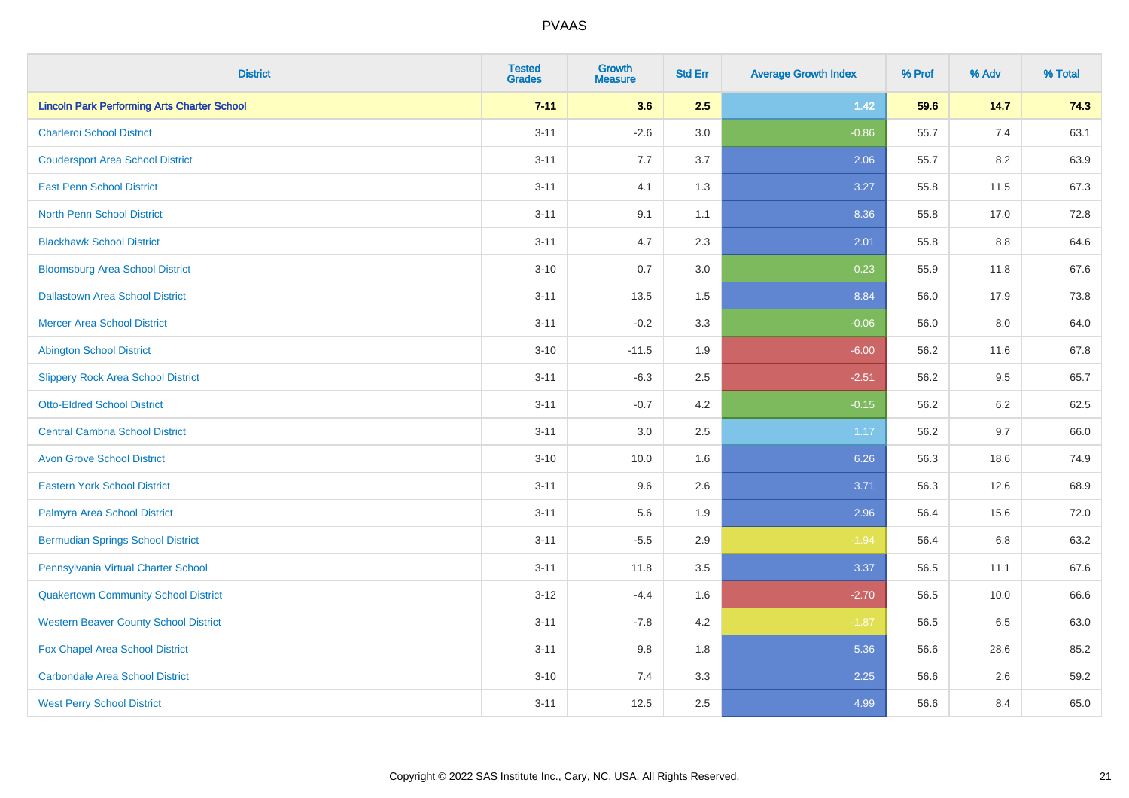| <b>District</b>                                    | <b>Tested</b><br><b>Grades</b> | <b>Growth</b><br><b>Measure</b> | <b>Std Err</b> | <b>Average Growth Index</b> | % Prof | % Adv   | % Total |
|----------------------------------------------------|--------------------------------|---------------------------------|----------------|-----------------------------|--------|---------|---------|
| <b>Lincoln Park Performing Arts Charter School</b> | $7 - 11$                       | 3.6                             | 2.5            | $1.42$                      | 59.6   | 14.7    | 74.3    |
| <b>Charleroi School District</b>                   | $3 - 11$                       | $-2.6$                          | 3.0            | $-0.86$                     | 55.7   | 7.4     | 63.1    |
| <b>Coudersport Area School District</b>            | $3 - 11$                       | 7.7                             | 3.7            | 2.06                        | 55.7   | 8.2     | 63.9    |
| <b>East Penn School District</b>                   | $3 - 11$                       | 4.1                             | 1.3            | 3.27                        | 55.8   | 11.5    | 67.3    |
| <b>North Penn School District</b>                  | $3 - 11$                       | 9.1                             | 1.1            | 8.36                        | 55.8   | 17.0    | 72.8    |
| <b>Blackhawk School District</b>                   | $3 - 11$                       | 4.7                             | 2.3            | 2.01                        | 55.8   | 8.8     | 64.6    |
| <b>Bloomsburg Area School District</b>             | $3 - 10$                       | 0.7                             | 3.0            | 0.23                        | 55.9   | 11.8    | 67.6    |
| <b>Dallastown Area School District</b>             | $3 - 11$                       | 13.5                            | 1.5            | 8.84                        | 56.0   | 17.9    | 73.8    |
| <b>Mercer Area School District</b>                 | $3 - 11$                       | $-0.2$                          | 3.3            | $-0.06$                     | 56.0   | 8.0     | 64.0    |
| <b>Abington School District</b>                    | $3 - 10$                       | $-11.5$                         | 1.9            | $-6.00$                     | 56.2   | 11.6    | 67.8    |
| <b>Slippery Rock Area School District</b>          | $3 - 11$                       | $-6.3$                          | 2.5            | $-2.51$                     | 56.2   | 9.5     | 65.7    |
| <b>Otto-Eldred School District</b>                 | $3 - 11$                       | $-0.7$                          | 4.2            | $-0.15$                     | 56.2   | 6.2     | 62.5    |
| <b>Central Cambria School District</b>             | $3 - 11$                       | $3.0\,$                         | 2.5            | 1.17                        | 56.2   | 9.7     | 66.0    |
| <b>Avon Grove School District</b>                  | $3 - 10$                       | 10.0                            | 1.6            | 6.26                        | 56.3   | 18.6    | 74.9    |
| <b>Eastern York School District</b>                | $3 - 11$                       | 9.6                             | 2.6            | 3.71                        | 56.3   | 12.6    | 68.9    |
| Palmyra Area School District                       | $3 - 11$                       | 5.6                             | 1.9            | 2.96                        | 56.4   | 15.6    | 72.0    |
| <b>Bermudian Springs School District</b>           | $3 - 11$                       | $-5.5$                          | 2.9            | $-1.94$                     | 56.4   | $6.8\,$ | 63.2    |
| Pennsylvania Virtual Charter School                | $3 - 11$                       | 11.8                            | 3.5            | 3.37                        | 56.5   | 11.1    | 67.6    |
| <b>Quakertown Community School District</b>        | $3 - 12$                       | $-4.4$                          | 1.6            | $-2.70$                     | 56.5   | 10.0    | 66.6    |
| <b>Western Beaver County School District</b>       | $3 - 11$                       | $-7.8$                          | 4.2            | $-1.87$                     | 56.5   | 6.5     | 63.0    |
| Fox Chapel Area School District                    | $3 - 11$                       | 9.8                             | 1.8            | 5.36                        | 56.6   | 28.6    | 85.2    |
| <b>Carbondale Area School District</b>             | $3 - 10$                       | 7.4                             | 3.3            | 2.25                        | 56.6   | 2.6     | 59.2    |
| <b>West Perry School District</b>                  | $3 - 11$                       | 12.5                            | 2.5            | 4.99                        | 56.6   | 8.4     | 65.0    |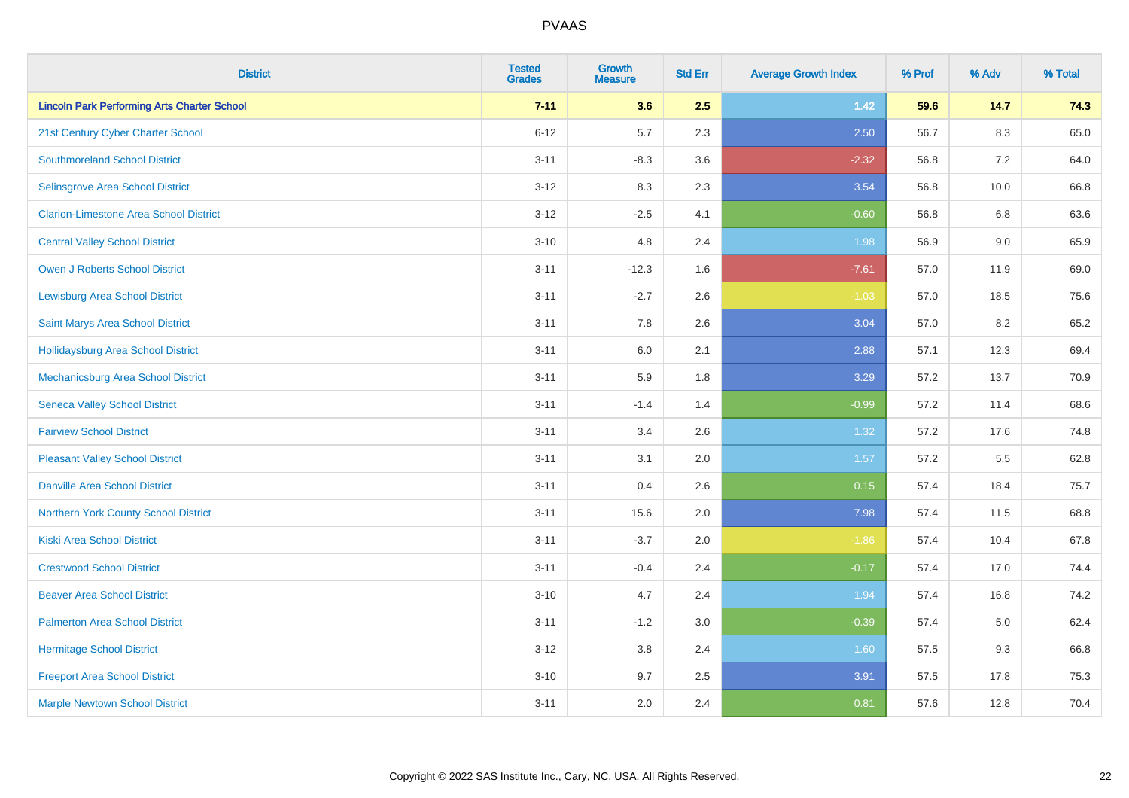| <b>District</b>                                    | <b>Tested</b><br><b>Grades</b> | Growth<br><b>Measure</b> | <b>Std Err</b> | <b>Average Growth Index</b> | % Prof | % Adv | % Total |
|----------------------------------------------------|--------------------------------|--------------------------|----------------|-----------------------------|--------|-------|---------|
| <b>Lincoln Park Performing Arts Charter School</b> | $7 - 11$                       | 3.6                      | 2.5            | $1.42$                      | 59.6   | 14.7  | 74.3    |
| 21st Century Cyber Charter School                  | $6 - 12$                       | 5.7                      | 2.3            | 2.50                        | 56.7   | 8.3   | 65.0    |
| <b>Southmoreland School District</b>               | $3 - 11$                       | $-8.3$                   | 3.6            | $-2.32$                     | 56.8   | 7.2   | 64.0    |
| <b>Selinsgrove Area School District</b>            | $3 - 12$                       | 8.3                      | 2.3            | 3.54                        | 56.8   | 10.0  | 66.8    |
| <b>Clarion-Limestone Area School District</b>      | $3 - 12$                       | $-2.5$                   | 4.1            | $-0.60$                     | 56.8   | 6.8   | 63.6    |
| <b>Central Valley School District</b>              | $3 - 10$                       | 4.8                      | 2.4            | 1.98                        | 56.9   | 9.0   | 65.9    |
| Owen J Roberts School District                     | $3 - 11$                       | $-12.3$                  | 1.6            | $-7.61$                     | 57.0   | 11.9  | 69.0    |
| <b>Lewisburg Area School District</b>              | $3 - 11$                       | $-2.7$                   | 2.6            | $-1.03$                     | 57.0   | 18.5  | 75.6    |
| Saint Marys Area School District                   | $3 - 11$                       | 7.8                      | 2.6            | 3.04                        | 57.0   | 8.2   | 65.2    |
| <b>Hollidaysburg Area School District</b>          | $3 - 11$                       | 6.0                      | 2.1            | 2.88                        | 57.1   | 12.3  | 69.4    |
| Mechanicsburg Area School District                 | $3 - 11$                       | 5.9                      | 1.8            | 3.29                        | 57.2   | 13.7  | 70.9    |
| <b>Seneca Valley School District</b>               | $3 - 11$                       | $-1.4$                   | 1.4            | $-0.99$                     | 57.2   | 11.4  | 68.6    |
| <b>Fairview School District</b>                    | $3 - 11$                       | 3.4                      | 2.6            | 1.32                        | 57.2   | 17.6  | 74.8    |
| <b>Pleasant Valley School District</b>             | $3 - 11$                       | 3.1                      | 2.0            | 1.57                        | 57.2   | 5.5   | 62.8    |
| <b>Danville Area School District</b>               | $3 - 11$                       | 0.4                      | 2.6            | 0.15                        | 57.4   | 18.4  | 75.7    |
| Northern York County School District               | $3 - 11$                       | 15.6                     | 2.0            | 7.98                        | 57.4   | 11.5  | 68.8    |
| <b>Kiski Area School District</b>                  | $3 - 11$                       | $-3.7$                   | 2.0            | $-1.86$                     | 57.4   | 10.4  | 67.8    |
| <b>Crestwood School District</b>                   | $3 - 11$                       | $-0.4$                   | 2.4            | $-0.17$                     | 57.4   | 17.0  | 74.4    |
| <b>Beaver Area School District</b>                 | $3 - 10$                       | 4.7                      | 2.4            | 1.94                        | 57.4   | 16.8  | 74.2    |
| <b>Palmerton Area School District</b>              | $3 - 11$                       | $-1.2$                   | 3.0            | $-0.39$                     | 57.4   | 5.0   | 62.4    |
| <b>Hermitage School District</b>                   | $3 - 12$                       | 3.8                      | 2.4            | 1.60                        | 57.5   | 9.3   | 66.8    |
| <b>Freeport Area School District</b>               | $3 - 10$                       | 9.7                      | 2.5            | 3.91                        | 57.5   | 17.8  | 75.3    |
| <b>Marple Newtown School District</b>              | $3 - 11$                       | 2.0                      | 2.4            | 0.81                        | 57.6   | 12.8  | 70.4    |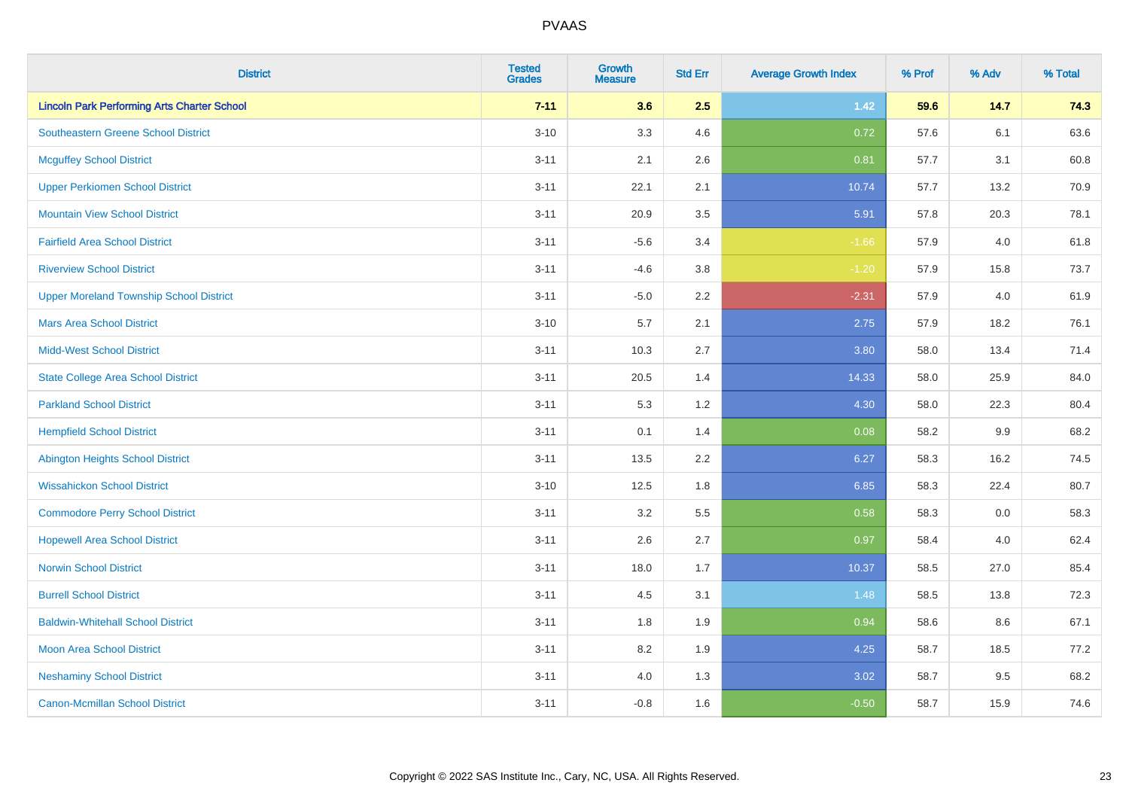| <b>District</b>                                    | <b>Tested</b><br><b>Grades</b> | Growth<br>Measure | <b>Std Err</b> | <b>Average Growth Index</b> | % Prof | % Adv   | % Total |
|----------------------------------------------------|--------------------------------|-------------------|----------------|-----------------------------|--------|---------|---------|
| <b>Lincoln Park Performing Arts Charter School</b> | $7 - 11$                       | 3.6               | 2.5            | $1.42$                      | 59.6   | 14.7    | 74.3    |
| <b>Southeastern Greene School District</b>         | $3 - 10$                       | 3.3               | 4.6            | 0.72                        | 57.6   | 6.1     | 63.6    |
| <b>Mcguffey School District</b>                    | $3 - 11$                       | 2.1               | 2.6            | 0.81                        | 57.7   | 3.1     | 60.8    |
| <b>Upper Perkiomen School District</b>             | $3 - 11$                       | 22.1              | 2.1            | 10.74                       | 57.7   | 13.2    | 70.9    |
| <b>Mountain View School District</b>               | $3 - 11$                       | 20.9              | 3.5            | 5.91                        | 57.8   | 20.3    | 78.1    |
| <b>Fairfield Area School District</b>              | $3 - 11$                       | $-5.6$            | 3.4            | $-1.66$                     | 57.9   | 4.0     | 61.8    |
| <b>Riverview School District</b>                   | $3 - 11$                       | $-4.6$            | 3.8            | $-1.20$                     | 57.9   | 15.8    | 73.7    |
| <b>Upper Moreland Township School District</b>     | $3 - 11$                       | $-5.0$            | 2.2            | $-2.31$                     | 57.9   | 4.0     | 61.9    |
| <b>Mars Area School District</b>                   | $3 - 10$                       | 5.7               | 2.1            | 2.75                        | 57.9   | 18.2    | 76.1    |
| <b>Midd-West School District</b>                   | $3 - 11$                       | 10.3              | 2.7            | 3.80                        | 58.0   | 13.4    | 71.4    |
| <b>State College Area School District</b>          | $3 - 11$                       | 20.5              | 1.4            | 14.33                       | 58.0   | 25.9    | 84.0    |
| <b>Parkland School District</b>                    | $3 - 11$                       | 5.3               | 1.2            | 4.30                        | 58.0   | 22.3    | 80.4    |
| <b>Hempfield School District</b>                   | $3 - 11$                       | 0.1               | 1.4            | 0.08                        | 58.2   | $9.9\,$ | 68.2    |
| <b>Abington Heights School District</b>            | $3 - 11$                       | 13.5              | 2.2            | 6.27                        | 58.3   | 16.2    | 74.5    |
| <b>Wissahickon School District</b>                 | $3 - 10$                       | 12.5              | 1.8            | 6.85                        | 58.3   | 22.4    | 80.7    |
| <b>Commodore Perry School District</b>             | $3 - 11$                       | 3.2               | 5.5            | 0.58                        | 58.3   | 0.0     | 58.3    |
| <b>Hopewell Area School District</b>               | $3 - 11$                       | 2.6               | 2.7            | 0.97                        | 58.4   | 4.0     | 62.4    |
| <b>Norwin School District</b>                      | $3 - 11$                       | 18.0              | 1.7            | 10.37                       | 58.5   | 27.0    | 85.4    |
| <b>Burrell School District</b>                     | $3 - 11$                       | 4.5               | 3.1            | 1.48                        | 58.5   | 13.8    | 72.3    |
| <b>Baldwin-Whitehall School District</b>           | $3 - 11$                       | 1.8               | 1.9            | 0.94                        | 58.6   | 8.6     | 67.1    |
| <b>Moon Area School District</b>                   | $3 - 11$                       | 8.2               | 1.9            | 4.25                        | 58.7   | 18.5    | 77.2    |
| <b>Neshaminy School District</b>                   | $3 - 11$                       | 4.0               | 1.3            | 3.02                        | 58.7   | 9.5     | 68.2    |
| <b>Canon-Mcmillan School District</b>              | $3 - 11$                       | $-0.8$            | 1.6            | $-0.50$                     | 58.7   | 15.9    | 74.6    |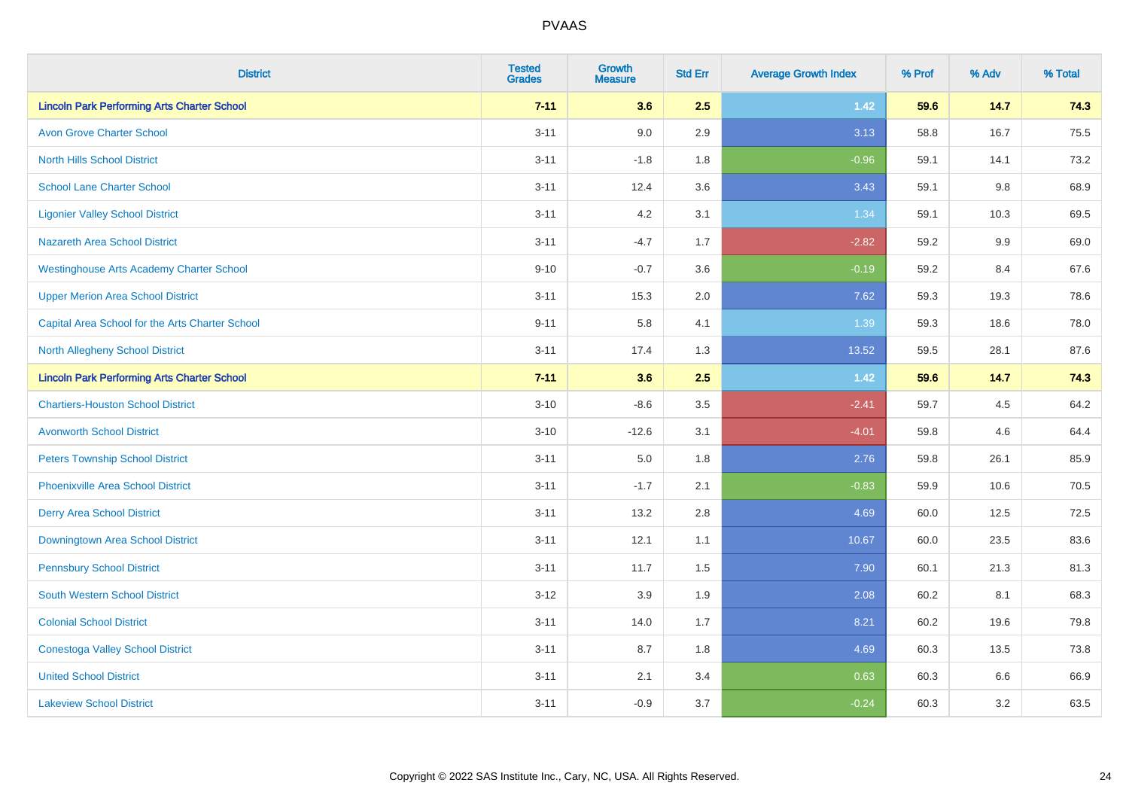| <b>District</b>                                    | <b>Tested</b><br><b>Grades</b> | <b>Growth</b><br><b>Measure</b> | <b>Std Err</b> | <b>Average Growth Index</b> | % Prof | % Adv   | % Total |
|----------------------------------------------------|--------------------------------|---------------------------------|----------------|-----------------------------|--------|---------|---------|
| <b>Lincoln Park Performing Arts Charter School</b> | $7 - 11$                       | 3.6                             | 2.5            | $1.42$                      | 59.6   | 14.7    | 74.3    |
| <b>Avon Grove Charter School</b>                   | $3 - 11$                       | 9.0                             | 2.9            | 3.13                        | 58.8   | 16.7    | 75.5    |
| <b>North Hills School District</b>                 | $3 - 11$                       | $-1.8$                          | 1.8            | $-0.96$                     | 59.1   | 14.1    | 73.2    |
| <b>School Lane Charter School</b>                  | $3 - 11$                       | 12.4                            | 3.6            | 3.43                        | 59.1   | $9.8\,$ | 68.9    |
| <b>Ligonier Valley School District</b>             | $3 - 11$                       | 4.2                             | 3.1            | 1.34                        | 59.1   | 10.3    | 69.5    |
| <b>Nazareth Area School District</b>               | $3 - 11$                       | $-4.7$                          | 1.7            | $-2.82$                     | 59.2   | 9.9     | 69.0    |
| <b>Westinghouse Arts Academy Charter School</b>    | $9 - 10$                       | $-0.7$                          | 3.6            | $-0.19$                     | 59.2   | 8.4     | 67.6    |
| <b>Upper Merion Area School District</b>           | $3 - 11$                       | 15.3                            | 2.0            | 7.62                        | 59.3   | 19.3    | 78.6    |
| Capital Area School for the Arts Charter School    | $9 - 11$                       | 5.8                             | 4.1            | 1.39                        | 59.3   | 18.6    | 78.0    |
| <b>North Allegheny School District</b>             | $3 - 11$                       | 17.4                            | 1.3            | 13.52                       | 59.5   | 28.1    | 87.6    |
| <b>Lincoln Park Performing Arts Charter School</b> | $7 - 11$                       | 3.6                             | 2.5            | $1.42$                      | 59.6   | 14.7    | 74.3    |
| <b>Chartiers-Houston School District</b>           | $3 - 10$                       | $-8.6$                          | 3.5            | $-2.41$                     | 59.7   | 4.5     | 64.2    |
| <b>Avonworth School District</b>                   | $3 - 10$                       | $-12.6$                         | 3.1            | $-4.01$                     | 59.8   | 4.6     | 64.4    |
| <b>Peters Township School District</b>             | $3 - 11$                       | 5.0                             | 1.8            | 2.76                        | 59.8   | 26.1    | 85.9    |
| <b>Phoenixville Area School District</b>           | $3 - 11$                       | $-1.7$                          | 2.1            | $-0.83$                     | 59.9   | 10.6    | 70.5    |
| <b>Derry Area School District</b>                  | $3 - 11$                       | 13.2                            | 2.8            | 4.69                        | 60.0   | 12.5    | 72.5    |
| Downingtown Area School District                   | $3 - 11$                       | 12.1                            | 1.1            | 10.67                       | 60.0   | 23.5    | 83.6    |
| <b>Pennsbury School District</b>                   | $3 - 11$                       | 11.7                            | 1.5            | 7.90                        | 60.1   | 21.3    | 81.3    |
| <b>South Western School District</b>               | $3 - 12$                       | 3.9                             | 1.9            | 2.08                        | 60.2   | 8.1     | 68.3    |
| <b>Colonial School District</b>                    | $3 - 11$                       | 14.0                            | 1.7            | 8.21                        | 60.2   | 19.6    | 79.8    |
| <b>Conestoga Valley School District</b>            | $3 - 11$                       | 8.7                             | 1.8            | 4.69                        | 60.3   | 13.5    | 73.8    |
| <b>United School District</b>                      | $3 - 11$                       | 2.1                             | 3.4            | 0.63                        | 60.3   | 6.6     | 66.9    |
| <b>Lakeview School District</b>                    | $3 - 11$                       | $-0.9$                          | 3.7            | $-0.24$                     | 60.3   | 3.2     | 63.5    |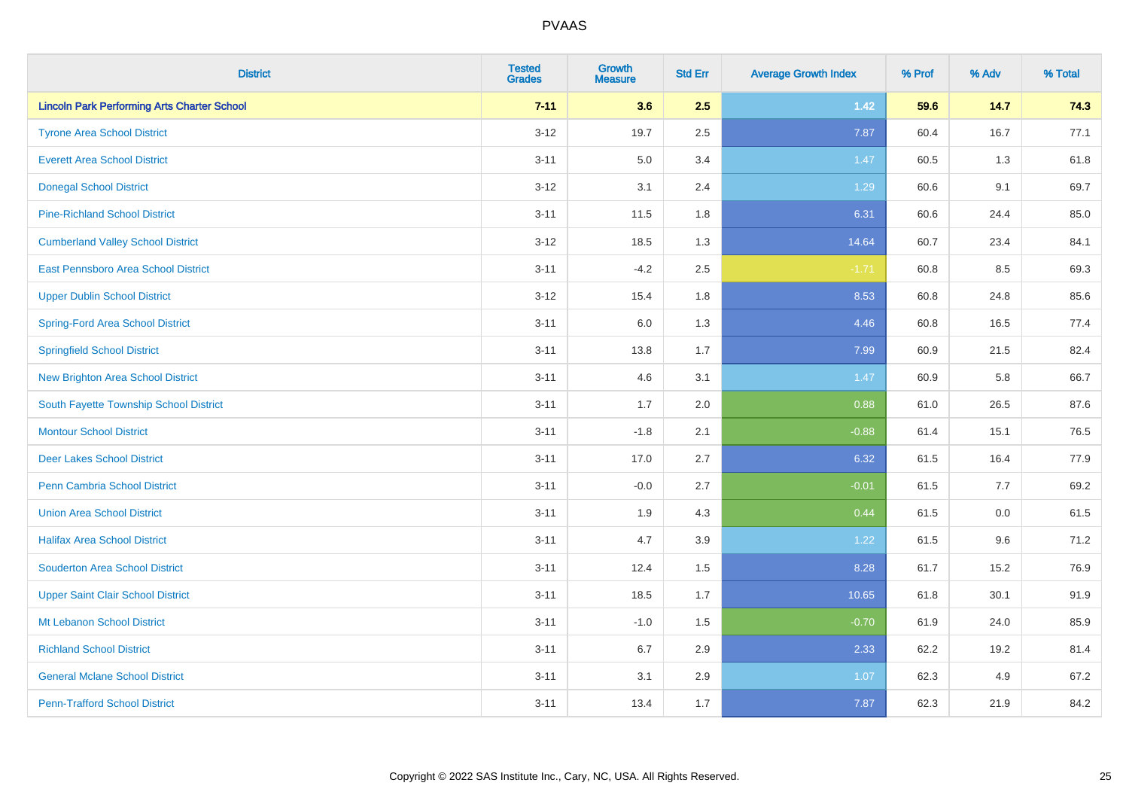| <b>District</b>                                    | <b>Tested</b><br><b>Grades</b> | <b>Growth</b><br><b>Measure</b> | <b>Std Err</b> | <b>Average Growth Index</b> | % Prof | % Adv   | % Total |
|----------------------------------------------------|--------------------------------|---------------------------------|----------------|-----------------------------|--------|---------|---------|
| <b>Lincoln Park Performing Arts Charter School</b> | $7 - 11$                       | 3.6                             | 2.5            | $1.42$                      | 59.6   | 14.7    | 74.3    |
| <b>Tyrone Area School District</b>                 | $3 - 12$                       | 19.7                            | 2.5            | 7.87                        | 60.4   | 16.7    | 77.1    |
| <b>Everett Area School District</b>                | $3 - 11$                       | 5.0                             | 3.4            | 1.47                        | 60.5   | 1.3     | 61.8    |
| <b>Donegal School District</b>                     | $3 - 12$                       | 3.1                             | 2.4            | 1.29                        | 60.6   | 9.1     | 69.7    |
| <b>Pine-Richland School District</b>               | $3 - 11$                       | 11.5                            | 1.8            | 6.31                        | 60.6   | 24.4    | 85.0    |
| <b>Cumberland Valley School District</b>           | $3 - 12$                       | 18.5                            | 1.3            | 14.64                       | 60.7   | 23.4    | 84.1    |
| East Pennsboro Area School District                | $3 - 11$                       | $-4.2$                          | 2.5            | $-1.71$                     | 60.8   | 8.5     | 69.3    |
| <b>Upper Dublin School District</b>                | $3 - 12$                       | 15.4                            | 1.8            | 8.53                        | 60.8   | 24.8    | 85.6    |
| Spring-Ford Area School District                   | $3 - 11$                       | 6.0                             | 1.3            | 4.46                        | 60.8   | 16.5    | 77.4    |
| <b>Springfield School District</b>                 | $3 - 11$                       | 13.8                            | 1.7            | 7.99                        | 60.9   | 21.5    | 82.4    |
| <b>New Brighton Area School District</b>           | $3 - 11$                       | 4.6                             | 3.1            | 1.47                        | 60.9   | 5.8     | 66.7    |
| South Fayette Township School District             | $3 - 11$                       | 1.7                             | 2.0            | 0.88                        | 61.0   | 26.5    | 87.6    |
| <b>Montour School District</b>                     | $3 - 11$                       | $-1.8$                          | 2.1            | $-0.88$                     | 61.4   | 15.1    | 76.5    |
| <b>Deer Lakes School District</b>                  | $3 - 11$                       | 17.0                            | 2.7            | 6.32                        | 61.5   | 16.4    | 77.9    |
| Penn Cambria School District                       | $3 - 11$                       | $-0.0$                          | 2.7            | $-0.01$                     | 61.5   | 7.7     | 69.2    |
| <b>Union Area School District</b>                  | $3 - 11$                       | 1.9                             | 4.3            | 0.44                        | 61.5   | $0.0\,$ | 61.5    |
| <b>Halifax Area School District</b>                | $3 - 11$                       | 4.7                             | 3.9            | 1.22                        | 61.5   | 9.6     | 71.2    |
| <b>Souderton Area School District</b>              | $3 - 11$                       | 12.4                            | 1.5            | 8.28                        | 61.7   | 15.2    | 76.9    |
| <b>Upper Saint Clair School District</b>           | $3 - 11$                       | 18.5                            | 1.7            | 10.65                       | 61.8   | 30.1    | 91.9    |
| Mt Lebanon School District                         | $3 - 11$                       | $-1.0$                          | 1.5            | $-0.70$                     | 61.9   | 24.0    | 85.9    |
| <b>Richland School District</b>                    | $3 - 11$                       | 6.7                             | 2.9            | 2.33                        | 62.2   | 19.2    | 81.4    |
| <b>General Mclane School District</b>              | $3 - 11$                       | 3.1                             | 2.9            | 1.07                        | 62.3   | 4.9     | 67.2    |
| <b>Penn-Trafford School District</b>               | $3 - 11$                       | 13.4                            | 1.7            | 7.87                        | 62.3   | 21.9    | 84.2    |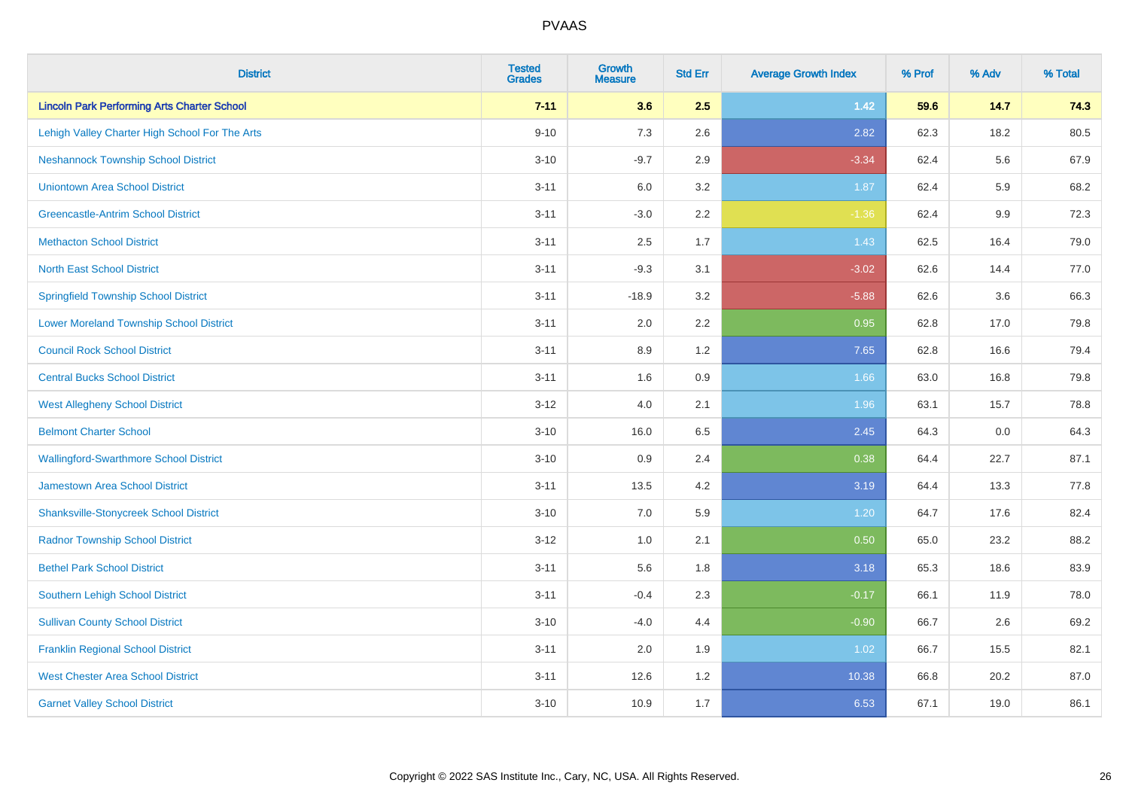| <b>District</b>                                    | <b>Tested</b><br><b>Grades</b> | Growth<br><b>Measure</b> | <b>Std Err</b> | <b>Average Growth Index</b> | % Prof | % Adv | % Total |
|----------------------------------------------------|--------------------------------|--------------------------|----------------|-----------------------------|--------|-------|---------|
| <b>Lincoln Park Performing Arts Charter School</b> | $7 - 11$                       | 3.6                      | 2.5            | $1.42$                      | 59.6   | 14.7  | 74.3    |
| Lehigh Valley Charter High School For The Arts     | $9 - 10$                       | 7.3                      | 2.6            | 2.82                        | 62.3   | 18.2  | 80.5    |
| <b>Neshannock Township School District</b>         | $3 - 10$                       | $-9.7$                   | 2.9            | $-3.34$                     | 62.4   | 5.6   | 67.9    |
| <b>Uniontown Area School District</b>              | $3 - 11$                       | 6.0                      | 3.2            | 1.87                        | 62.4   | 5.9   | 68.2    |
| <b>Greencastle-Antrim School District</b>          | $3 - 11$                       | $-3.0$                   | 2.2            | $-1.36$                     | 62.4   | 9.9   | 72.3    |
| <b>Methacton School District</b>                   | $3 - 11$                       | 2.5                      | 1.7            | 1.43                        | 62.5   | 16.4  | 79.0    |
| <b>North East School District</b>                  | $3 - 11$                       | $-9.3$                   | 3.1            | $-3.02$                     | 62.6   | 14.4  | 77.0    |
| <b>Springfield Township School District</b>        | $3 - 11$                       | $-18.9$                  | 3.2            | $-5.88$                     | 62.6   | 3.6   | 66.3    |
| <b>Lower Moreland Township School District</b>     | $3 - 11$                       | 2.0                      | 2.2            | 0.95                        | 62.8   | 17.0  | 79.8    |
| <b>Council Rock School District</b>                | $3 - 11$                       | 8.9                      | 1.2            | 7.65                        | 62.8   | 16.6  | 79.4    |
| <b>Central Bucks School District</b>               | $3 - 11$                       | 1.6                      | 0.9            | 1.66                        | 63.0   | 16.8  | 79.8    |
| <b>West Allegheny School District</b>              | $3 - 12$                       | 4.0                      | 2.1            | 1.96                        | 63.1   | 15.7  | 78.8    |
| <b>Belmont Charter School</b>                      | $3 - 10$                       | 16.0                     | 6.5            | 2.45                        | 64.3   | 0.0   | 64.3    |
| <b>Wallingford-Swarthmore School District</b>      | $3 - 10$                       | 0.9                      | 2.4            | 0.38                        | 64.4   | 22.7  | 87.1    |
| <b>Jamestown Area School District</b>              | $3 - 11$                       | 13.5                     | 4.2            | 3.19                        | 64.4   | 13.3  | 77.8    |
| <b>Shanksville-Stonycreek School District</b>      | $3 - 10$                       | 7.0                      | 5.9            | 1.20                        | 64.7   | 17.6  | 82.4    |
| <b>Radnor Township School District</b>             | $3 - 12$                       | 1.0                      | 2.1            | 0.50                        | 65.0   | 23.2  | 88.2    |
| <b>Bethel Park School District</b>                 | $3 - 11$                       | 5.6                      | 1.8            | 3.18                        | 65.3   | 18.6  | 83.9    |
| <b>Southern Lehigh School District</b>             | $3 - 11$                       | $-0.4$                   | 2.3            | $-0.17$                     | 66.1   | 11.9  | 78.0    |
| <b>Sullivan County School District</b>             | $3 - 10$                       | $-4.0$                   | 4.4            | $-0.90$                     | 66.7   | 2.6   | 69.2    |
| <b>Franklin Regional School District</b>           | $3 - 11$                       | 2.0                      | 1.9            | 1.02                        | 66.7   | 15.5  | 82.1    |
| <b>West Chester Area School District</b>           | $3 - 11$                       | 12.6                     | 1.2            | 10.38                       | 66.8   | 20.2  | 87.0    |
| <b>Garnet Valley School District</b>               | $3 - 10$                       | 10.9                     | 1.7            | 6.53                        | 67.1   | 19.0  | 86.1    |